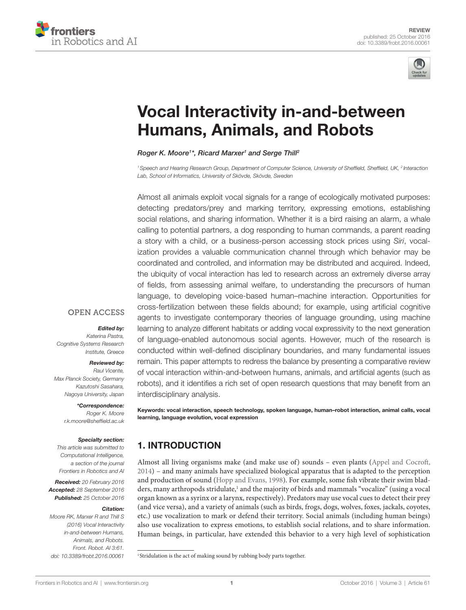



# **Vocal Interactivity in-and-between Humans, Animals, and Robots**

#### *[Roger K. Moore1](http://loop.frontiersin.org/people/321220/overview) \*, [Ricard Marxer](http://loop.frontiersin.org/people/355440/overview)1 and [Serge Thill2](http://loop.frontiersin.org/people/8886/overview)*

*1Speech and Hearing Research Group, Department of Computer Science, University of Sheffield, Sheffield, UK, 2 Interaction Lab, School of Informatics, University of Skövde, Skövde, Sweden*

Almost all animals exploit vocal signals for a range of ecologically motivated purposes: detecting predators/prey and marking territory, expressing emotions, establishing social relations, and sharing information. Whether it is a bird raising an alarm, a whale calling to potential partners, a dog responding to human commands, a parent reading a story with a child, or a business-person accessing stock prices using *Siri*, vocalization provides a valuable communication channel through which behavior may be coordinated and controlled, and information may be distributed and acquired. Indeed, the ubiquity of vocal interaction has led to research across an extremely diverse array of fields, from assessing animal welfare, to understanding the precursors of human language, to developing voice-based human–machine interaction. Opportunities for cross-fertilization between these fields abound; for example, using artificial cognitive agents to investigate contemporary theories of language grounding, using machine learning to analyze different habitats or adding vocal expressivity to the next generation of language-enabled autonomous social agents. However, much of the research is conducted within well-defined disciplinary boundaries, and many fundamental issues remain. This paper attempts to redress the balance by presenting a comparative review of vocal interaction within-and-between humans, animals, and artificial agents (such as robots), and it identifies a rich set of open research questions that may benefit from an interdisciplinary analysis.

Keywords: vocal interaction, speech technology, spoken language, human–robot interaction, animal calls, vocal learning, language evolution, vocal expression

### 1. INTRODUCTION

Almost all living organisms make (and make use of) sounds – even plants [\(Appel and Cocroft,](#page-10-0)  [2014](#page-10-0)) – and many animals have specialized biological apparatus that is adapted to the perception and production of sound [\(Hopp and Evans, 1998\)](#page-12-0). For example, some fish vibrate their swim blad-ders, many arthropods stridulate,<sup>[1](#page-0-0)</sup> and the majority of birds and mammals "vocalize" (using a vocal organ known as a syrinx or a larynx, respectively). Predators may use vocal cues to detect their prey (and vice versa), and a variety of animals (such as birds, frogs, dogs, wolves, foxes, jackals, coyotes, etc.) use vocalization to mark or defend their territory. Social animals (including human beings) also use vocalization to express emotions, to establish social relations, and to share information. Human beings, in particular, have extended this behavior to a very high level of sophistication

<span id="page-0-0"></span><sup>1</sup> Stridulation is the act of making sound by rubbing body parts together.

*Edited by:* 

**OPEN ACCESS** 

*Katerina Pastra,* 

*Cognitive Systems Research Institute, Greece*

#### *Reviewed by:*

*Raul Vicente, Max Planck Society, Germany Kazutoshi Sasahara, Nagoya University, Japan*

> *\*Correspondence: Roger K. Moore [r.k.moore@sheffield.ac.uk](mailto:r.k.moore@sheffield.ac.uk)*

#### *Specialty section:*

*This article was submitted to Computational Intelligence, a section of the journal Frontiers in Robotics and AI*

*Received: 20 February 2016 Accepted: 28 September 2016 Published: 25 October 2016*

#### *Citation:*

*Moore RK, Marxer R and Thill S (2016) Vocal Interactivity in-and-between Humans, Animals, and Robots. Front. Robot. AI 3:61. doi: [10.3389/frobt.2016.00061](http://dx.doi.org/10.3389/frobt.2016.00061)*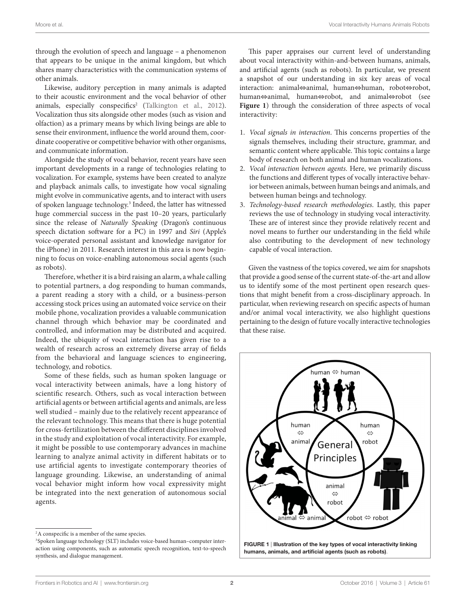through the evolution of speech and language – a phenomenon that appears to be unique in the animal kingdom, but which shares many characteristics with the communication systems of other animals.

Likewise, auditory perception in many animals is adapted to their acoustic environment and the vocal behavior of other animals, especially conspecifics<sup>2</sup> (Talkington et al., 2012). Vocalization thus sits alongside other modes (such as vision and olfaction) as a primary means by which living beings are able to sense their environment, influence the world around them, coordinate cooperative or competitive behavior with other organisms, and communicate information.

Alongside the study of vocal behavior, recent years have seen important developments in a range of technologies relating to vocalization. For example, systems have been created to analyze and playback animals calls, to investigate how vocal signaling might evolve in communicative agents, and to interact with users of spoken language technology.<sup>[3](#page-1-1)</sup> Indeed, the latter has witnessed huge commercial success in the past 10–20 years, particularly since the release of *Naturally Speaking* (Dragon's continuous speech dictation software for a PC) in 1997 and *Siri* (Apple's voice-operated personal assistant and knowledge navigator for the iPhone) in 2011. Research interest in this area is now beginning to focus on voice-enabling autonomous social agents (such as robots).

Therefore, whether it is a bird raising an alarm, a whale calling to potential partners, a dog responding to human commands, a parent reading a story with a child, or a business-person accessing stock prices using an automated voice service on their mobile phone, vocalization provides a valuable communication channel through which behavior may be coordinated and controlled, and information may be distributed and acquired. Indeed, the ubiquity of vocal interaction has given rise to a wealth of research across an extremely diverse array of fields from the behavioral and language sciences to engineering, technology, and robotics.

Some of these fields, such as human spoken language or vocal interactivity between animals, have a long history of scientific research. Others, such as vocal interaction between artificial agents or between artificial agents and animals, are less well studied – mainly due to the relatively recent appearance of the relevant technology. This means that there is huge potential for cross-fertilization between the different disciplines involved in the study and exploitation of vocal interactivity. For example, it might be possible to use contemporary advances in machine learning to analyze animal activity in different habitats or to use artificial agents to investigate contemporary theories of language grounding. Likewise, an understanding of animal vocal behavior might inform how vocal expressivity might be integrated into the next generation of autonomous social agents.

This paper appraises our current level of understanding about vocal interactivity within-and-between humans, animals, and artificial agents (such as robots). In particular, we present a snapshot of our understanding in six key areas of vocal interaction: animal⇔animal, human⇔human, robot⇔robot, human⇔animal, human⇔robot, and animal⇔robot (see Figure 1) through the consideration of three aspects of vocal interactivity:

- 1. *Vocal signals in interaction*. This concerns properties of the signals themselves, including their structure, grammar, and semantic content where applicable. This topic contains a large body of research on both animal and human vocalizations.
- 2. *Vocal interaction between agents*. Here, we primarily discuss the functions and different types of vocally interactive behavior between animals, between human beings and animals, and between human beings and technology.
- 3. *Technology-based research methodologies*. Lastly, this paper reviews the use of technology in studying vocal interactivity. These are of interest since they provide relatively recent and novel means to further our understanding in the field while also contributing to the development of new technology capable of vocal interaction.

Given the vastness of the topics covered, we aim for snapshots that provide a good sense of the current state-of-the-art and allow us to identify some of the most pertinent open research questions that might benefit from a cross-disciplinary approach. In particular, when reviewing research on specific aspects of human and/or animal vocal interactivity, we also highlight questions pertaining to the design of future vocally interactive technologies that these raise.



<span id="page-1-2"></span>FIGURE 1 | Illustration of the key types of vocal interactivity linking humans, animals, and artificial agents (such as robots).

<span id="page-1-0"></span><sup>&</sup>lt;sup>2</sup>A conspecific is a member of the same species.

<span id="page-1-1"></span><sup>3</sup> Spoken language technology (SLT) includes voice-based human–computer interaction using components, such as automatic speech recognition, text-to-speech synthesis, and dialogue management.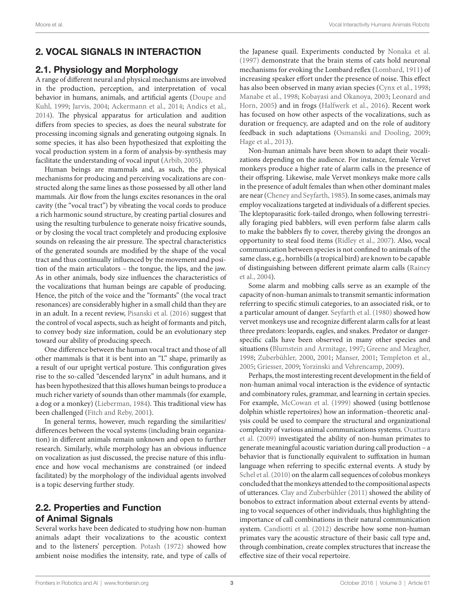## 2. VOCAL SIGNALS IN INTERACTION

### 2.1. Physiology and Morphology

A range of different neural and physical mechanisms are involved in the production, perception, and interpretation of vocal behavior in humans, animals, and artificial agents ([Doupe and](#page-11-0) [Kuhl, 1999](#page-11-0); [Jarvis, 2004](#page-13-0); [Ackermann et al., 2014;](#page-10-1) [Andics et al.,](#page-10-2) [2014\)](#page-10-2). The physical apparatus for articulation and audition differs from species to species, as does the neural substrate for processing incoming signals and generating outgoing signals. In some species, it has also been hypothesized that exploiting the vocal production system in a form of analysis-by-synthesis may facilitate the understanding of vocal input [\(Arbib, 2005](#page-11-1)).

Human beings are mammals and, as such, the physical mechanisms for producing and perceiving vocalizations are constructed along the same lines as those possessed by all other land mammals. Air flow from the lungs excites resonances in the oral cavity (the "vocal tract") by vibrating the vocal cords to produce a rich harmonic sound structure, by creating partial closures and using the resulting turbulence to generate noisy fricative sounds, or by closing the vocal tract completely and producing explosive sounds on releasing the air pressure. The spectral characteristics of the generated sounds are modified by the shape of the vocal tract and thus continually influenced by the movement and position of the main articulators – the tongue, the lips, and the jaw. As in other animals, body size influences the characteristics of the vocalizations that human beings are capable of producing. Hence, the pitch of the voice and the "formants" (the vocal tract resonances) are considerably higher in a small child than they are in an adult. In a recent review, [Pisanski et al. \(2016\)](#page-14-0) suggest that the control of vocal aspects, such as height of formants and pitch, to convey body size information, could be an evolutionary step toward our ability of producing speech.

One difference between the human vocal tract and those of all other mammals is that it is bent into an "L" shape, primarily as a result of our upright vertical posture. This configuration gives rise to the so-called "descended larynx" in adult humans, and it has been hypothesized that this allows human beings to produce a much richer variety of sounds than other mammals (for example, a dog or a monkey) ([Lieberman, 1984](#page-13-1)). This traditional view has been challenged ([Fitch and Reby, 2001\)](#page-12-1).

In general terms, however, much regarding the similarities/ differences between the vocal systems (including brain organization) in different animals remain unknown and open to further research. Similarly, while morphology has an obvious influence on vocalization as just discussed, the precise nature of this influence and how vocal mechanisms are constrained (or indeed facilitated) by the morphology of the individual agents involved is a topic deserving further study.

### 2.2. Properties and Function of Animal Signals

Several works have been dedicated to studying how non-human animals adapt their vocalizations to the acoustic context and to the listeners' perception. [Potash \(1972\)](#page-14-1) showed how ambient noise modifies the intensity, rate, and type of calls of the Japanese quail. Experiments conducted by [Nonaka et al.](#page-14-2)  [\(1997\)](#page-14-2) demonstrate that the brain stems of cats hold neuronal mechanisms for evoking the Lombard reflex [\(Lombard, 1911](#page-13-2)) of increasing speaker effort under the presence of noise. This effect has also been observed in many avian species [\(Cynx et al., 1998;](#page-11-2) [Manabe et al., 1998;](#page-13-3) [Kobayasi and Okanoya, 2003;](#page-13-4) [Leonard and](#page-13-5)  [Horn, 2005\)](#page-13-5) and in frogs ([Halfwerk et al., 2016](#page-12-2)). Recent work has focused on how other aspects of the vocalizations, such as duration or frequency, are adapted and on the role of auditory feedback in such adaptations ([Osmanski and Dooling, 2009;](#page-14-3) [Hage et al., 2013](#page-12-3)).

Non-human animals have been shown to adapt their vocalizations depending on the audience. For instance, female Vervet monkeys produce a higher rate of alarm calls in the presence of their offspring. Likewise, male Vervet monkeys make more calls in the presence of adult females than when other dominant males are near ([Cheney and Seyfarth, 1985](#page-11-3)). In some cases, animals may employ vocalizations targeted at individuals of a different species. The kleptoparasitic fork-tailed drongo, when following terrestrially foraging pied babblers, will even perform false alarm calls to make the babblers fly to cover, thereby giving the drongos an opportunity to steal food items [\(Ridley et al., 2007\)](#page-15-1). Also, vocal communication between species is not confined to animals of the same class, e.g., hornbills (a tropical bird) are known to be capable of distinguishing between different primate alarm calls ([Rainey](#page-14-4)  [et al., 2004\)](#page-14-4).

Some alarm and mobbing calls serve as an example of the capacity of non-human animals to transmit semantic information referring to specific stimuli categories, to an associated risk, or to a particular amount of danger. [Seyfarth et al. \(1980\)](#page-15-2) showed how vervet monkeys use and recognize different alarm calls for at least three predators: leopards, eagles, and snakes. Predator or dangerspecific calls have been observed in many other species and situations [\(Blumstein and Armitage, 1997](#page-11-4); [Greene and Meagher,](#page-12-4)  [1998](#page-12-4); [Zuberbühler, 2000](#page-16-0), [2001;](#page-16-1) [Manser, 2001](#page-13-6); [Templeton et al.,](#page-15-3)  [2005](#page-15-3); [Griesser, 2009](#page-12-5); [Yorzinski and Vehrencamp, 2009\)](#page-16-2).

Perhaps, the most interesting recent development in the field of non-human animal vocal interaction is the evidence of syntactic and combinatory rules, grammar, and learning in certain species. For example, [McCowan et al. \(1999\)](#page-13-7) showed (using bottlenose dolphin whistle repertoires) how an information–theoretic analysis could be used to compare the structural and organizational complexity of various animal communications systems. [Ouattara](#page-14-5)  [et al. \(2009\)](#page-14-5) investigated the ability of non-human primates to generate meaningful acoustic variation during call production – a behavior that is functionally equivalent to suffixation in human language when referring to specific external events. A study by [Schel et al. \(2010\)](#page-15-4) on the alarm call sequences of colobus monkeys concluded that the monkeys attended to the compositional aspects of utterances. [Clay and Zuberbühler \(2011\)](#page-11-5) showed the ability of bonobos to extract information about external events by attending to vocal sequences of other individuals, thus highlighting the importance of call combinations in their natural communication system. [Candiotti et al. \(2012\)](#page-11-6) describe how some non-human primates vary the acoustic structure of their basic call type and, through combination, create complex structures that increase the effective size of their vocal repertoire.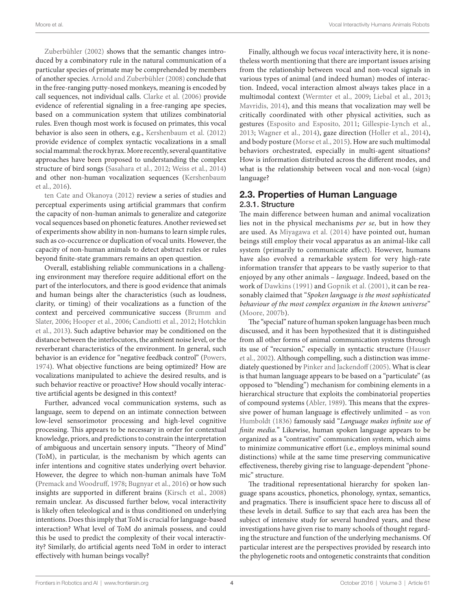Moore et al. Vocal Interactivity Humans Animals Robots

[Zuberbühler \(2002\)](#page-16-3) shows that the semantic changes introduced by a combinatory rule in the natural communication of a particular species of primate may be comprehended by members of another species. [Arnold and Zuberbühler \(2008\)](#page-11-7) conclude that in the free-ranging putty-nosed monkeys, meaning is encoded by call sequences, not individual calls. [Clarke et al. \(2006\)](#page-11-8) provide evidence of referential signaling in a free-ranging ape species, based on a communication system that utilizes combinatorial rules. Even though most work is focused on primates, this vocal behavior is also seen in others, e.g., [Kershenbaum et al. \(2012\)](#page-13-8) provide evidence of complex syntactic vocalizations in a small social mammal: the rock hyrax. More recently, several quantitative approaches have been proposed to understanding the complex structure of bird songs [\(Sasahara et al., 2012](#page-15-5); [Weiss et al., 2014\)](#page-16-4) and other non-human vocalization sequences [\(Kershenbaum](#page-13-9) [et al., 2016\)](#page-13-9).

[ten Cate and Okanoya \(2012\)](#page-15-6) review a series of studies and perceptual experiments using artificial grammars that confirm the capacity of non-human animals to generalize and categorize vocal sequences based on phonetic features. Another reviewed set of experiments show ability in non-humans to learn simple rules, such as co-occurrence or duplication of vocal units. However, the capacity of non-human animals to detect abstract rules or rules beyond finite-state grammars remains an open question.

Overall, establishing reliable communications in a challenging environment may therefore require additional effort on the part of the interlocutors, and there is good evidence that animals and human beings alter the characteristics (such as loudness, clarity, or timing) of their vocalizations as a function of the context and perceived communicative success ([Brumm and](#page-11-9) [Slater, 2006;](#page-11-9) [Hooper et al., 2006](#page-12-6); [Candiotti et al., 2012;](#page-11-6) [Hotchkin](#page-12-7) [et al., 2013\)](#page-12-7). Such adaptive behavior may be conditioned on the distance between the interlocutors, the ambient noise level, or the reverberant characteristics of the environment. In general, such behavior is an evidence for "negative feedback control" ([Powers,](#page-14-6) [1974\)](#page-14-6). What objective functions are being optimized? How are vocalizations manipulated to achieve the desired results, and is such behavior reactive or proactive? How should vocally interactive artificial agents be designed in this context?

Further, advanced vocal communication systems, such as language, seem to depend on an intimate connection between low-level sensorimotor processing and high-level cognitive processing. This appears to be necessary in order for contextual knowledge, priors, and predictions to constrain the interpretation of ambiguous and uncertain sensory inputs. "Theory of Mind" (ToM), in particular, is the mechanism by which agents can infer intentions and cognitive states underlying overt behavior. However, the degree to which non-human animals have ToM ([Premack and Woodruff, 1978;](#page-14-7) [Bugnyar et al., 2016\)](#page-11-10) or how such insights are supported in different brains ([Kirsch et al., 2008\)](#page-13-10) remain unclear. As discussed further below, vocal interactivity is likely often teleological and is thus conditioned on underlying intentions. Does this imply that ToM is crucial for language-based interaction? What level of ToM do animals possess, and could this be used to predict the complexity of their vocal interactivity? Similarly, do artificial agents need ToM in order to interact effectively with human beings vocally?

Finally, although we focus *vocal* interactivity here, it is nonetheless worth mentioning that there are important issues arising from the relationship between vocal and non-vocal signals in various types of animal (and indeed human) modes of interaction. Indeed, vocal interaction almost always takes place in a multimodal context [\(Wermter et al., 2009;](#page-16-5) [Liebal et al., 2013;](#page-13-11) [Mavridis, 2014](#page-13-12)), and this means that vocalization may well be critically coordinated with other physical activities, such as gestures ([Esposito and Esposito, 2011](#page-12-8); [Gillespie-Lynch et al.,](#page-12-9)  [2013;](#page-12-9) [Wagner et al., 2014\)](#page-16-6), gaze direction ([Holler et al., 2014](#page-12-10)), and body posture ([Morse et al., 2015\)](#page-14-8). How are such multimodal behaviors orchestrated, especially in multi-agent situations? How is information distributed across the different modes, and what is the relationship between vocal and non-vocal (sign) language?

### 2.3. Properties of Human Language 2.3.1. Structure

The main difference between human and animal vocalization lies not in the physical mechanisms *per se*, but in how they are used. As [Miyagawa et al. \(2014\)](#page-14-9) have pointed out, human beings still employ their vocal apparatus as an animal-like call system (primarily to communicate affect). However, humans have also evolved a remarkable system for very high-rate information transfer that appears to be vastly superior to that enjoyed by any other animals – *language*. Indeed, based on the work of [Dawkins \(1991\)](#page-11-11) and [Gopnik et al. \(2001\),](#page-12-11) it can be reasonably claimed that "*Spoken language is the most sophisticated behaviour of the most complex organism in the known universe*" ([Moore, 2007b\)](#page-14-10).

The "special" nature of human spoken language has been much discussed, and it has been hypothesized that it is distinguished from all other forms of animal communication systems through its use of "recursion," especially in syntactic structure ([Hauser](#page-12-12)  [et al., 2002](#page-12-12)). Although compelling, such a distinction was immediately questioned by [Pinker and Jackendoff \(2005\)](#page-14-11). What is clear is that human language appears to be based on a "particulate" (as opposed to "blending") mechanism for combining elements in a hierarchical structure that exploits the combinatorial properties of compound systems ([Abler, 1989\)](#page-10-3). This means that the expressive power of human language is effectively unlimited – as [von](#page-15-7)  [Humboldt \(1836\)](#page-15-7) famously said "*Language makes infinite use of finite media.*" Likewise, human spoken language appears to be organized as a "contrastive" communication system, which aims to minimize communicative effort (i.e., employs minimal sound distinctions) while at the same time preserving communicative effectiveness, thereby giving rise to language-dependent "phonemic" structure.

The traditional representational hierarchy for spoken language spans acoustics, phonetics, phonology, syntax, semantics, and pragmatics. There is insufficient space here to discuss all of these levels in detail. Suffice to say that each area has been the subject of intensive study for several hundred years, and these investigations have given rise to many schools of thought regarding the structure and function of the underlying mechanisms. Of particular interest are the perspectives provided by research into the phylogenetic roots and ontogenetic constraints that condition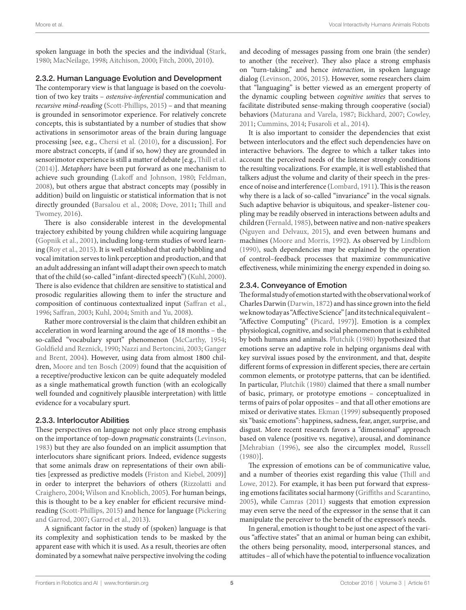spoken language in both the species and the individual [\(Stark,](#page-15-8) [1980;](#page-15-8) [MacNeilage, 1998](#page-13-13); [Aitchison, 2000](#page-10-4); [Fitch, 2000](#page-12-13), [2010\)](#page-12-14).

### 2.3.2. Human Language Evolution and Development

The contemporary view is that language is based on the coevolution of two key traits – *ostensive-inferential* communication and *recursive mind-reading* [\(Scott-Phillips, 2015\)](#page-15-9) – and that meaning is grounded in sensorimotor experience. For relatively concrete concepts, this is substantiated by a number of studies that show activations in sensorimotor areas of the brain during language processing [see, e.g., [Chersi et al. \(2010\)](#page-11-12), for a discussion]. For more abstract concepts, if (and if so, how) they are grounded in sensorimotor experience is still a matter of debate [e.g., [Thill et al.](#page-15-10) [\(2014\)](#page-15-10)]. *Metaphors* have been put forward as one mechanism to achieve such grounding ([Lakoff and Johnson, 1980;](#page-13-14) [Feldman,](#page-12-15) [2008\)](#page-12-15), but others argue that abstract concepts may (possibly in addition) build on linguistic or statistical information that is not directly grounded ([Barsalou et al., 2008;](#page-11-13) [Dove, 2011;](#page-11-14) [Thill and](#page-15-11) [Twomey, 2016\)](#page-15-11).

There is also considerable interest in the developmental trajectory exhibited by young children while acquiring language ([Gopnik et al., 2001](#page-12-11)), including long-term studies of word learning ([Roy et al., 2015](#page-15-12)). It is well established that early babbling and vocal imitation serves to link perception and production, and that an adult addressing an infant will adapt their own speech to match that of the child (so-called "infant-directed speech") [\(Kuhl, 2000\)](#page-13-15). There is also evidence that children are sensitive to statistical and prosodic regularities allowing them to infer the structure and composition of continuous contextualized input [\(Saffran et al.,](#page-15-13) [1996;](#page-15-13) [Saffran, 2003](#page-15-14); [Kuhl, 2004;](#page-13-16) [Smith and Yu, 2008\)](#page-15-15).

Rather more controversial is the claim that children exhibit an acceleration in word learning around the age of 18 months – the so-called "vocabulary spurt" phenomenon [\(McCarthy, 1954;](#page-13-17) [Goldfield and Reznick, 1990](#page-12-16); [Nazzi and Bertoncini, 2003](#page-14-12); [Ganger](#page-12-17) [and Brent, 2004\)](#page-12-17). However, using data from almost 1800 children, [Moore and ten Bosch \(2009\)](#page-14-13) found that the acquisition of a receptive/productive lexicon can be quite adequately modeled as a single mathematical growth function (with an ecologically well founded and cognitively plausible interpretation) with little evidence for a vocabulary spurt.

#### 2.3.3. Interlocutor Abilities

These perspectives on language not only place strong emphasis on the importance of top-down *pragmatic* constraints [\(Levinson,](#page-13-18) [1983\)](#page-13-18) but they are also founded on an implicit assumption that interlocutors share significant priors. Indeed, evidence suggests that some animals draw on representations of their own abilities [expressed as predictive models [\(Friston and Kiebel, 2009\)](#page-12-18)] in order to interpret the behaviors of others [\(Rizzolatti and](#page-15-16) [Craighero, 2004;](#page-15-16) [Wilson and Knoblich, 2005\)](#page-16-7). For human beings, this is thought to be a key enabler for efficient recursive mindreading ([Scott-Phillips, 2015\)](#page-15-9) and hence for language ([Pickering](#page-14-14) [and Garrod, 2007](#page-14-14); [Garrod et al., 2013\)](#page-12-19).

A significant factor in the study of (spoken) language is that its complexity and sophistication tends to be masked by the apparent ease with which it is used. As a result, theories are often dominated by a somewhat naïve perspective involving the coding and decoding of messages passing from one brain (the sender) to another (the receiver). They also place a strong emphasis on "turn-taking," and hence *interaction*, in spoken language dialog [\(Levinson, 2006,](#page-13-19) [2015\)](#page-13-20). However, some researchers claim that "languaging" is better viewed as an emergent property of the dynamic coupling between *cognitive unities* that serves to facilitate distributed sense-making through cooperative (social) behaviors ([Maturana and Varela, 1987;](#page-13-21) [Bickhard, 2007;](#page-11-15) [Cowley,](#page-11-16)  [2011](#page-11-16); [Cummins, 2014](#page-11-17); [Fusaroli et al., 2014\)](#page-12-20).

It is also important to consider the dependencies that exist between interlocutors and the effect such dependencies have on interactive behaviors. The degree to which a talker takes into account the perceived needs of the listener strongly conditions the resulting vocalizations. For example, it is well established that talkers adjust the volume and clarity of their speech in the presence of noise and interference ([Lombard, 1911\)](#page-13-2). This is the reason why there is a lack of so-called "invariance" in the vocal signals. Such adaptive behavior is ubiquitous, and speaker–listener coupling may be readily observed in interactions between adults and children ([Fernald, 1985\)](#page-12-21), between native and non-native speakers [\(Nguyen and Delvaux, 2015\)](#page-14-15), and even between humans and machines [\(Moore and Morris, 1992\)](#page-14-16). As observed by [Lindblom](#page-13-22)  [\(1990\),](#page-13-22) such dependencies may be explained by the operation of control–feedback processes that maximize communicative effectiveness, while minimizing the energy expended in doing so.

### 2.3.4. Conveyance of Emotion

The formal study of emotion started with the observational work of Charles Darwin ([Darwin, 1872\)](#page-11-18) and has since grown into the field we know today as "Affective Science" [and its technical equivalent – "Affective Computing" ([Picard, 1997\)](#page-14-17)]. Emotion is a complex physiological, cognitive, and social phenomenon that is exhibited by both humans and animals. [Plutchik \(1980\)](#page-14-18) hypothesized that emotions serve an adaptive role in helping organisms deal with key survival issues posed by the environment, and that, despite different forms of expression in different species, there are certain common elements, or prototype patterns, that can be identified. In particular, [Plutchik \(1980\)](#page-14-18) claimed that there a small number of basic, primary, or prototype emotions – conceptualized in terms of pairs of polar opposites – and that all other emotions are mixed or derivative states. [Ekman \(1999\)](#page-11-19) subsequently proposed six "basic emotions": happiness, sadness, fear, anger, surprise, and disgust. More recent research favors a "dimensional" approach based on valence (positive vs. negative), arousal, and dominance [\[Mehrabian \(1996\)](#page-13-23), see also the circumplex model, [Russell](#page-15-17)  [\(1980\)\]](#page-15-17).

The expression of emotions can be of communicative value, and a number of theories exist regarding this value ([Thill and](#page-15-18)  [Lowe, 2012](#page-15-18)). For example, it has been put forward that expressing emotions facilitates social harmony ([Griffiths and Scarantino,](#page-12-22)  [2005](#page-12-22)), while [Camras \(2011\)](#page-11-20) suggests that emotion expression may even serve the need of the expressor in the sense that it can manipulate the perceiver to the benefit of the expressor's needs.

In general, emotion is thought to be just one aspect of the various "affective states" that an animal or human being can exhibit, the others being personality, mood, interpersonal stances, and attitudes – all of which have the potential to influence vocalization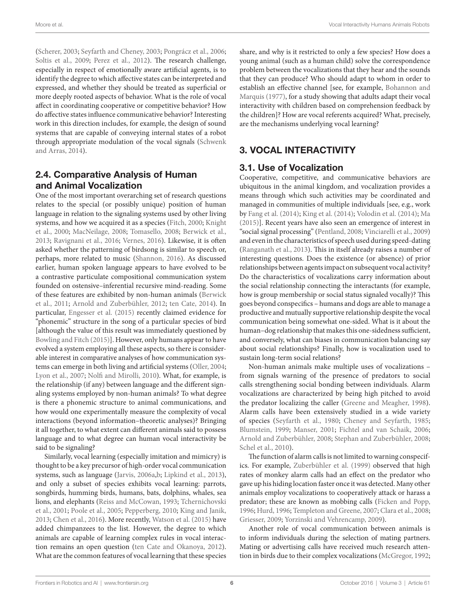Moore et al. Vocal Interactivity Humans Animals Robots

([Scherer, 2003](#page-15-19); [Seyfarth and Cheney, 2003;](#page-15-20) [Pongrácz et al., 2006;](#page-14-19) Soltis et al., 2009; Perez et al., 2012). The research challenge, especially in respect of emotionally aware artificial agents, is to identify the degree to which affective states can be interpreted and expressed, and whether they should be treated as superficial or more deeply rooted aspects of behavior. What is the role of vocal affect in coordinating cooperative or competitive behavior? How do affective states influence communicative behavior? Interesting work in this direction includes, for example, the design of sound systems that are capable of conveying internal states of a robot through appropriate modulation of the vocal signals [\(Schwenk](#page-15-22) [and Arras, 2014\)](#page-15-22).

### 2.4. Comparative Analysis of Human and Animal Vocalization

One of the most important overarching set of research questions relates to the special (or possibly unique) position of human language in relation to the signaling systems used by other living systems, and how we acquired it as a species ([Fitch, 2000;](#page-12-13) [Knight](#page-13-24) [et al., 2000;](#page-13-24) [MacNeilage, 2008](#page-13-25); [Tomasello, 2008;](#page-15-23) [Berwick et al.,](#page-11-21) [2013;](#page-11-21) [Ravignani et al., 2016;](#page-14-21) [Vernes, 2016](#page-15-24)). Likewise, it is often asked whether the patterning of birdsong is similar to speech or, perhaps, more related to music [\(Shannon, 2016\)](#page-15-25). As discussed earlier, human spoken language appears to have evolved to be a contrastive particulate compositional communication system founded on ostensive–inferential recursive mind-reading. Some of these features are exhibited by non-human animals ([Berwick](#page-11-22) [et al., 2011;](#page-11-22) [Arnold and Zuberbühler, 2012](#page-11-23); [ten Cate, 2014](#page-15-26)). In particular, [Engesser et al. \(2015\)](#page-12-23) recently claimed evidence for "phonemic" structure in the song of a particular species of bird [although the value of this result was immediately questioned by [Bowling and Fitch \(2015\)](#page-11-24)]. However, only humans appear to have evolved a system employing all these aspects, so there is considerable interest in comparative analyses of how communication systems can emerge in both living and artificial systems ([Oller, 2004](#page-14-22); [Lyon et al., 2007;](#page-13-26) [Nolfi and Mirolli, 2010\)](#page-14-23). What, for example, is the relationship (if any) between language and the different signaling systems employed by non-human animals? To what degree is there a phonemic structure to animal communications, and how would one experimentally measure the complexity of vocal interactions (beyond information–theoretic analyses)? Bringing it all together, to what extent can different animals said to possess language and to what degree can human vocal interactivity be said to be signaling?

Similarly, vocal learning (especially imitation and mimicry) is thought to be a key precursor of high-order vocal communication systems, such as language ([Jarvis, 2006a](#page-13-27)[,b](#page-13-28); [Lipkind et al., 2013\)](#page-13-29), and only a subset of species exhibits vocal learning: parrots, songbirds, humming birds, humans, bats, dolphins, whales, sea lions, and elephants [\(Reiss and McCowan, 1993;](#page-15-27) [Tchernichovski](#page-15-28) [et al., 2001](#page-15-28); [Poole et al., 2005;](#page-14-24) [Pepperberg, 2010;](#page-14-25) [King and Janik,](#page-13-30) [2013;](#page-13-30) [Chen et al., 2016\)](#page-11-25). More recently, [Watson et al. \(2015\)](#page-16-8) have added chimpanzees to the list. However, the degree to which animals are capable of learning complex rules in vocal interaction remains an open question [\(ten Cate and Okanoya, 2012\)](#page-15-6). What are the common features of vocal learning that these species

share, and why is it restricted to only a few species? How does a young animal (such as a human child) solve the correspondence problem between the vocalizations that they hear and the sounds that they can produce? Who should adapt to whom in order to establish an effective channel [see, for example, [Bohannon and](#page-11-26)  [Marquis \(1977\),](#page-11-26) for a study showing that adults adapt their vocal interactivity with children based on comprehension feedback by the children]? How are vocal referents acquired? What, precisely, are the mechanisms underlying vocal learning?

## 3. VOCAL INTERACTIVITY

### 3.1. Use of Vocalization

Cooperative, competitive, and communicative behaviors are ubiquitous in the animal kingdom, and vocalization provides a means through which such activities may be coordinated and managed in communities of multiple individuals [see, e.g., work by [Fang et al. \(2014\)](#page-12-24); [King et al. \(2014\);](#page-13-31) [Volodin et al. \(2014\)](#page-15-29); [Ma](#page-13-32)  [\(2015\)\]](#page-13-32). Recent years have also seen an emergence of interest in "social signal processing" ([Pentland, 2008;](#page-14-26) [Vinciarelli et al., 2009\)](#page-15-30) and even in the characteristics of speech used during speed-dating [\(Ranganath et al., 2013](#page-14-27)). This in itself already raises a number of interesting questions. Does the existence (or absence) of prior relationships between agents impact on subsequent vocal activity? Do the characteristics of vocalizations carry information about the social relationship connecting the interactants (for example, how is group membership or social status signaled vocally)? This goes beyond conspecifics – humans and dogs are able to manage a productive and mutually supportive relationship despite the vocal communication being somewhat one-sided. What is it about the human–dog relationship that makes this one-sidedness sufficient, and conversely, what can biases in communication balancing say about social relationships? Finally, how is vocalization used to sustain long-term social relations?

Non-human animals make multiple uses of vocalizations – from signals warning of the presence of predators to social calls strengthening social bonding between individuals. Alarm vocalizations are characterized by being high pitched to avoid the predator localizing the caller ([Greene and Meagher, 1998](#page-12-4)). Alarm calls have been extensively studied in a wide variety of species [\(Seyfarth et al., 1980;](#page-15-2) [Cheney and Seyfarth, 1985;](#page-11-3) [Blumstein, 1999](#page-11-27); [Manser, 2001;](#page-13-6) [Fichtel and van Schaik, 2006;](#page-12-25) [Arnold and Zuberbühler, 2008](#page-11-7); [Stephan and Zuberbühler, 2008;](#page-15-31) [Schel et al., 2010\)](#page-15-4).

The function of alarm calls is not limited to warning conspecifics. For example, [Zuberbühler et al. \(1999\)](#page-16-9) observed that high rates of monkey alarm calls had an effect on the predator who gave up his hiding location faster once it was detected. Many other animals employ vocalizations to cooperatively attack or harass a predator; these are known as mobbing calls [\(Ficken and Popp,](#page-12-26)  [1996](#page-12-26); [Hurd, 1996;](#page-13-33) [Templeton and Greene, 2007](#page-15-32); [Clara et al., 2008;](#page-11-28) [Griesser, 2009;](#page-12-5) [Yorzinski and Vehrencamp, 2009](#page-16-2)).

Another role of vocal communication between animals is to inform individuals during the selection of mating partners. Mating or advertising calls have received much research attention in birds due to their complex vocalizations [\(McGregor, 1992;](#page-13-34)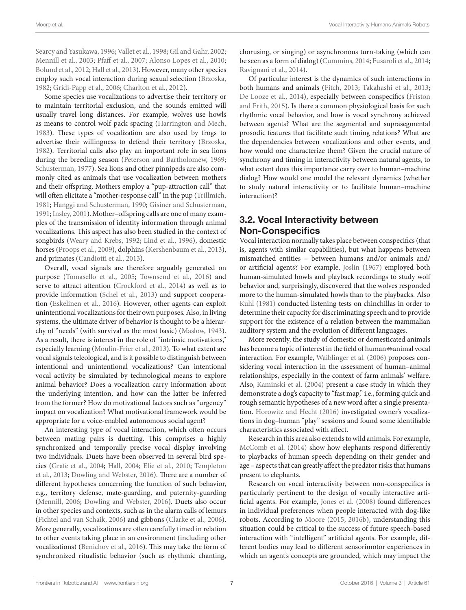[Searcy and Yasukawa, 1996;](#page-15-33) [Vallet et al., 1998;](#page-15-34) [Gil and Gahr, 2002;](#page-12-27) [Mennill et al., 2003](#page-13-35); [Pfaff et al., 2007;](#page-14-28) [Alonso Lopes et al., 2010;](#page-10-5) [Bolund et al., 2012;](#page-11-29) [Hall et al., 2013](#page-12-28)). However, many other species employ such vocal interaction during sexual selection ([Brzoska,](#page-11-30) [1982;](#page-11-30) [Gridi-Papp et al., 2006](#page-12-29); [Charlton et al., 2012](#page-11-31)).

Some species use vocalizations to advertise their territory or to maintain territorial exclusion, and the sounds emitted will usually travel long distances. For example, wolves use howls as means to control wolf pack spacing ([Harrington and Mech,](#page-12-30) [1983\)](#page-12-30). These types of vocalization are also used by frogs to advertise their willingness to defend their territory ([Brzoska,](#page-11-30) [1982\)](#page-11-30). Territorial calls also play an important role in sea lions during the breeding season [\(Peterson and Bartholomew, 1969;](#page-14-29) [Schusterman, 1977](#page-15-35)). Sea lions and other pinnipeds are also commonly cited as animals that use vocalization between mothers and their offspring. Mothers employ a "pup-attraction call" that will often elicitate a "mother-response call" in the pup ([Trillmich,](#page-15-36) [1981;](#page-15-36) [Hanggi and Schusterman, 1990](#page-12-31); [Gisiner and Schusterman,](#page-12-32) [1991;](#page-12-32) [Insley, 2001](#page-13-36)). Mother–offspring calls are one of many examples of the transmission of identity information through animal vocalizations. This aspect has also been studied in the context of songbirds ([Weary and Krebs, 1992;](#page-16-10) [Lind et al., 1996](#page-13-37)), domestic horses ([Proops et al., 2009](#page-14-30)), dolphins [\(Kershenbaum et al., 2013\)](#page-13-38), and primates [\(Candiotti et al., 2013](#page-11-32)).

Overall, vocal signals are therefore arguably generated on purpose [\(Tomasello et al., 2005](#page-15-37); [Townsend et al., 2016](#page-15-38)) and serve to attract attention [\(Crockford et al., 2014\)](#page-11-33) as well as to provide information ([Schel et al., 2013](#page-15-39)) and support cooperation [\(Eskelinen et al., 2016](#page-12-33)). However, other agents can exploit unintentional vocalizations for their own purposes. Also, in living systems, the ultimate driver of behavior is thought to be a hierarchy of "needs" (with survival as the most basic) ([Maslow, 1943\)](#page-13-39). As a result, there is interest in the role of "intrinsic motivations," especially learning ([Moulin-Frier et al., 2013\)](#page-14-31). To what extent are vocal signals teleological, and is it possible to distinguish between intentional and unintentional vocalizations? Can intentional vocal activity be simulated by technological means to explore animal behavior? Does a vocalization carry information about the underlying intention, and how can the latter be inferred from the former? How do motivational factors such as "urgency" impact on vocalization? What motivational framework would be appropriate for a voice-enabled autonomous social agent?

An interesting type of vocal interaction, which often occurs between mating pairs is duetting. This comprises a highly synchronized and temporally precise vocal display involving two individuals. Duets have been observed in several bird species ([Grafe et al., 2004;](#page-12-34) [Hall, 2004;](#page-12-35) [Elie et al., 2010](#page-12-36); [Templeton](#page-15-40) [et al., 2013](#page-15-40); [Dowling and Webster, 2016](#page-11-34)). There are a number of different hypotheses concerning the function of such behavior, e.g., territory defense, mate-guarding, and paternity-guarding ([Mennill, 2006](#page-13-40); [Dowling and Webster, 2016](#page-11-34)). Duets also occur in other species and contexts, such as in the alarm calls of lemurs ([Fichtel and van Schaik, 2006](#page-12-25)) and gibbons [\(Clarke et al., 2006\)](#page-11-8). More generally, vocalizations are often carefully timed in relation to other events taking place in an environment (including other vocalizations) ([Benichov et al., 2016\)](#page-11-35). This may take the form of synchronized ritualistic behavior (such as rhythmic chanting,

chorusing, or singing) or asynchronous turn-taking (which can be seen as a form of dialog) [\(Cummins, 2014](#page-11-17); [Fusaroli et al., 2014;](#page-12-20) [Ravignani et al., 2014](#page-14-32)).

Of particular interest is the dynamics of such interactions in both humans and animals ([Fitch, 2013;](#page-12-37) [Takahashi et al., 2013;](#page-15-41) [De Looze et al., 2014](#page-11-36)), especially between conspecifics ([Friston](#page-12-38)  [and Frith, 2015](#page-12-38)). Is there a common physiological basis for such rhythmic vocal behavior, and how is vocal synchrony achieved between agents? What are the segmental and suprasegmental prosodic features that facilitate such timing relations? What are the dependencies between vocalizations and other events, and how would one characterize them? Given the crucial nature of synchrony and timing in interactivity between natural agents, to what extent does this importance carry over to human–machine dialog? How would one model the relevant dynamics (whether to study natural interactivity or to facilitate human–machine interaction)?

## 3.2. Vocal Interactivity between Non-Conspecifics

Vocal interaction normally takes place between conspecifics (that is, agents with similar capabilities), but what happens between mismatched entities – between humans and/or animals and/ or artificial agents? For example, [Joslin \(1967\)](#page-13-41) employed both human-simulated howls and playback recordings to study wolf behavior and, surprisingly, discovered that the wolves responded more to the human-simulated howls than to the playbacks. Also [Kuhl \(1981\)](#page-13-42) conducted listening tests on chinchillas in order to determine their capacity for discriminating speech and to provide support for the existence of a relation between the mammalian auditory system and the evolution of different languages.

More recently, the study of domestic or domesticated animals has become a topic of interest in the field of human⇔animal vocal interaction. For example, [Waiblinger et al. \(2006\)](#page-16-11) proposes considering vocal interaction in the assessment of human–animal relationships, especially in the context of farm animals' welfare. Also, [Kaminski et al. \(2004\)](#page-13-43) present a case study in which they demonstrate a dog's capacity to "fast map," i.e., forming quick and rough semantic hypotheses of a new word after a single presentation. [Horowitz and Hecht \(2016\)](#page-12-39) investigated owner's vocalizations in dog–human "play" sessions and found some identifiable characteristics associated with affect.

Research in this area also extends to wild animals. For example, [McComb et al. \(2014\)](#page-13-44) show how elephants respond differently to playbacks of human speech depending on their gender and age – aspects that can greatly affect the predator risks that humans present to elephants.

Research on vocal interactivity between non-conspecifics is particularly pertinent to the design of vocally interactive artificial agents. For example, [Jones et al. \(2008\)](#page-13-45) found differences in individual preferences when people interacted with dog-like robots. According to [Moore \(2015,](#page-14-33) [2016b](#page-14-34)), understanding this situation could be critical to the success of future speech-based interaction with "intelligent" artificial agents. For example, different bodies may lead to different sensorimotor experiences in which an agent's concepts are grounded, which may impact the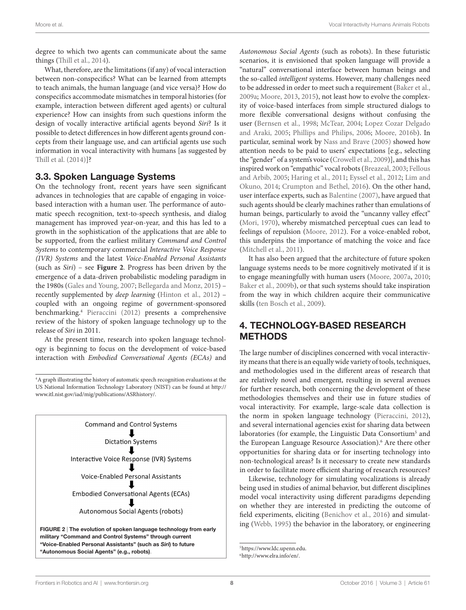degree to which two agents can communicate about the same things ([Thill et al., 2014](#page-15-10)).

What, therefore, are the limitations (if any) of vocal interaction between non-conspecifics? What can be learned from attempts to teach animals, the human language (and vice versa)? How do conspecifics accommodate mismatches in temporal histories (for example, interaction between different aged agents) or cultural experience? How can insights from such questions inform the design of vocally interactive artificial agents beyond *Siri*? Is it possible to detect differences in how different agents ground concepts from their language use, and can artificial agents use such information in vocal interactivity with humans [as suggested by [Thill et al. \(2014\)\]](#page-15-10)?

#### 3.3. Spoken Language Systems

On the technology front, recent years have seen significant advances in technologies that are capable of engaging in voicebased interaction with a human user. The performance of automatic speech recognition, text-to-speech synthesis, and dialog management has improved year-on-year, and this has led to a growth in the sophistication of the applications that are able to be supported, from the earliest military *Command and Control Systems* to contemporary commercial *Interactive Voice Response (IVR) Systems* and the latest *Voice-Enabled Personal Assistants* (such as *Siri*) – see **[Figure 2](#page-7-0)**. Progress has been driven by the emergence of a data-driven probabilistic modeling paradigm in the 1980s [\(Gales and Young, 2007](#page-12-40); [Bellegarda and Monz, 2015\)](#page-11-37) – recently supplemented by *deep learning* ([Hinton et al., 2012\)](#page-12-41) – coupled with an ongoing regime of government-sponsored benchmarking.[4](#page-7-1) [Pieraccini \(2012\)](#page-14-35) presents a comprehensive review of the history of spoken language technology up to the release of *Siri* in 2011.

At the present time, research into spoken language technology is beginning to focus on the development of voice-based interaction with *Embodied Conversational Agents (ECAs)* and

<span id="page-7-0"></span>**Command and Control Systems Dictation Systems** Interactive Voice Response (IVR) Systems Voice-Enabled Personal Assistants **Embodied Conversational Agents (ECAs)** Autonomous Social Agents (robots) FIGURE 2 | The evolution of spoken language technology from early military "Command and Control Systems" through current "Voice-Enabled Personal Assistants" (such as *Siri*) to future "Autonomous Social Agents" (e.g., robots).

*Autonomous Social Agents* (such as robots). In these futuristic scenarios, it is envisioned that spoken language will provide a "natural" conversational interface between human beings and the so-called *intelligent* systems. However, many challenges need to be addressed in order to meet such a requirement [\(Baker et al.,](#page-11-38)  [2009a;](#page-11-38) [Moore, 2013,](#page-14-36) [2015\)](#page-14-33), not least how to evolve the complexity of voice-based interfaces from simple structured dialogs to more flexible conversational designs without confusing the user [\(Bernsen et al., 1998;](#page-11-39) [McTear, 2004](#page-13-46); [Lopez Cozar Delgado](#page-13-47)  [and Araki, 2005;](#page-13-47) [Phillips and Philips, 2006;](#page-14-37) [Moore, 2016b\)](#page-14-34). In particular, seminal work by [Nass and Brave \(2005\)](#page-14-38) showed how attention needs to be paid to users' expectations [e.g., selecting the "gender" of a system's voice [\(Crowell et al., 2009\)](#page-11-40)], and this has inspired work on "empathic" vocal robots [\(Breazeal, 2003](#page-11-41); [Fellous](#page-12-42)  [and Arbib, 2005](#page-12-42); [Haring et al., 2011](#page-12-43); [Eyssel et al., 2012](#page-12-44); [Lim and](#page-13-48)  [Okuno, 2014;](#page-13-48) [Crumpton and Bethel, 2016\)](#page-11-42). On the other hand, user interface experts, such as [Balentine \(2007\)](#page-11-43), have argued that such agents should be clearly machines rather than emulations of human beings, particularly to avoid the "uncanny valley effect" [\(Mori, 1970\)](#page-14-39), whereby mismatched perceptual cues can lead to feelings of repulsion ([Moore, 2012](#page-14-40)). For a voice-enabled robot, this underpins the importance of matching the voice and face [\(Mitchell et al., 2011](#page-14-41)).

It has also been argued that the architecture of future spoken language systems needs to be more cognitively motivated if it is to engage meaningfully with human users [\(Moore, 2007a,](#page-14-42) [2010;](#page-14-43) [Baker et al., 2009b\)](#page-11-44), or that such systems should take inspiration from the way in which children acquire their communicative skills ([ten Bosch et al., 2009\)](#page-15-42).

### 4. TECHNOLOGY-BASED RESEARCH METHODS

The large number of disciplines concerned with vocal interactivity means that there is an equally wide variety of tools, techniques, and methodologies used in the different areas of research that are relatively novel and emergent, resulting in several avenues for further research, both concerning the development of these methodologies themselves and their use in future studies of vocal interactivity. For example, large-scale data collection is the norm in spoken language technology ([Pieraccini, 2012](#page-14-35)), and several international agencies exist for sharing data between laboratories (for example, the Linguistic Data Consortium<sup>5</sup> and the European Language Resource Association).<sup>6</sup> Are there other opportunities for sharing data or for inserting technology into non-technological areas? Is it necessary to create new standards in order to facilitate more efficient sharing of research resources?

Likewise, technology for simulating vocalizations is already being used in studies of animal behavior, but different disciplines model vocal interactivity using different paradigms depending on whether they are interested in predicting the outcome of field experiments, eliciting [\(Benichov et al., 2016](#page-11-35)) and simulating [\(Webb, 1995\)](#page-16-12) the behavior in the laboratory, or engineering

<span id="page-7-1"></span><sup>4</sup>A graph illustrating the history of automatic speech recognition evaluations at the US National Information Technology Laboratory (NIST) can be found at [http://](http://www.itl.nist.gov/iad/mig/publications/ASRhistory/) [www.itl.nist.gov/iad/mig/publications/ASRhistory/.](http://www.itl.nist.gov/iad/mig/publications/ASRhistory/)

<span id="page-7-2"></span><sup>5</sup>[https://www.ldc.upenn.edu.](https://www.ldc.upenn.edu)

<span id="page-7-3"></span><sup>6</sup>[http://www.elra.info/en/.](http://www.elra.info/en/)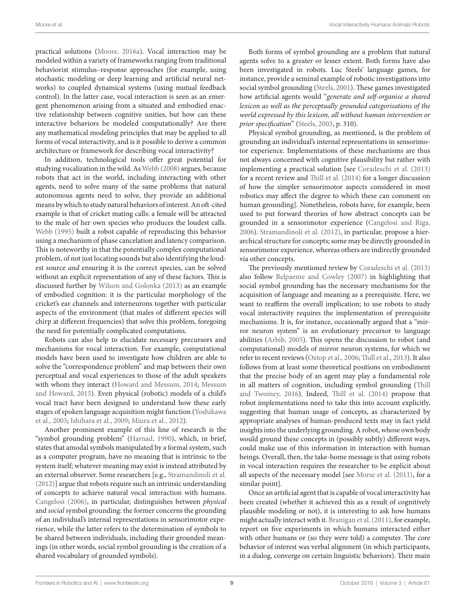practical solutions [\(Moore, 2016a\)](#page-14-44). Vocal interaction may be modeled within a variety of frameworks ranging from traditional behaviorist stimulus–response approaches (for example, using stochastic modeling or deep learning and artificial neural networks) to coupled dynamical systems (using mutual feedback control). In the latter case, vocal interaction is seen as an emergent phenomenon arising from a situated and embodied enactive relationship between cognitive unities, but how can these interactive behaviors be modeled computationally? Are there any mathematical modeling principles that may be applied to all forms of vocal interactivity, and is it possible to derive a common architecture or framework for describing vocal interactivity?

In addition, technological tools offer great potential for studying vocalization in the wild. As [Webb \(2008\)](#page-16-13) argues, because robots that act in the world, including interacting with other agents, need to solve many of the same problems that natural autonomous agents need to solve, they provide an additional means by which to study natural behaviors of interest. An oft-cited example is that of cricket mating calls: a female will be attracted to the male of her own species who produces the loudest calls. [Webb \(1995\)](#page-16-12) built a robot capable of reproducing this behavior using a mechanism of phase cancelation and latency comparison. This is noteworthy in that the potentially complex computational problem, of not just locating sounds but also identifying the loudest source *and* ensuring it is the correct species, can be solved without an explicit representation of any of these factors. This is discussed further by [Wilson and Golonka \(2013\)](#page-16-14) as an example of embodied cognition: it is the particular morphology of the cricket's ear channels and interneurons together with particular aspects of the environment (that males of different species will chirp at different frequencies) that solve this problem, foregoing the need for potentially complicated computations.

Robots can also help to elucidate necessary precursors and mechanisms for vocal interaction. For example, computational models have been used to investigate how children are able to solve the "correspondence problem" and map between their own perceptual and vocal experiences to those of the adult speakers with whom they interact [\(Howard and Messum, 2014](#page-12-45); [Messum](#page-13-49) [and Howard, 2015\)](#page-13-49). Even physical (robotic) models of a child's vocal tract have been designed to understand how these early stages of spoken language acquisition might function ([Yoshikawa](#page-16-15) [et al., 2003;](#page-16-15) [Ishihara et al., 2009;](#page-13-50) [Miura et al., 2012](#page-14-45)).

Another prominent example of this line of research is the "symbol grounding problem" [\(Harnad, 1990](#page-12-46)), which, in brief, states that amodal symbols manipulated by a formal system, such as a computer program, have no meaning that is intrinsic to the system itself; whatever meaning may exist is instead attributed by an external observer. Some researchers [e.g., [Stramandinoli et al.](#page-15-43) [\(2012\)](#page-15-43)] argue that robots require such an intrinsic understanding of concepts to achieve natural vocal interaction with humans. [Cangelosi \(2006\)](#page-11-45), in particular, distinguishes between *physical* and *social* symbol grounding: the former concerns the grounding of an individual's internal representations in sensorimotor experience, while the latter refers to the determination of symbols to be shared between individuals, including their grounded meanings (in other words, social symbol grounding is the creation of a shared vocabulary of grounded symbols).

Both forms of symbol grounding are a problem that natural agents solve to a greater or lesser extent. Both forms have also been investigated in robots. Luc Steels' language games, for instance, provide a seminal example of robotic investigations into social symbol grounding [\(Steels, 2001\)](#page-15-44). These games investigated how artificial agents would "*generate and self-organise a shared lexicon as well as the perceptually grounded categorisations of the world expressed by this lexicon, all without human intervention or prior specification*" [\(Steels, 2003](#page-15-45), p. 310).

Physical symbol grounding, as mentioned, is the problem of grounding an individual's internal representations in sensorimotor experience. Implementations of these mechanisms are thus not always concerned with cognitive plausibility but rather with implementing a practical solution [see [Coradeschi et al. \(2013\)](#page-11-46) for a recent review and [Thill et al. \(2014\)](#page-15-10) for a longer discussion of how the simpler sensorimotor aspects considered in most robotics may affect the degree to which these can comment on human grounding]. Nonetheless, robots have, for example, been used to put forward theories of how abstract concepts can be grounded in a sensorimotor experience ([Cangelosi and Riga,](#page-11-47)  [2006](#page-11-47)). [Stramandinoli et al. \(2012\)](#page-15-43), in particular, propose a hierarchical structure for concepts; some may be directly grounded in sensorimotor experience, whereas others are indirectly grounded via other concepts.

The previously mentioned review by [Coradeschi et al. \(2013\)](#page-11-46) also follow [Belpaeme and Cowley \(2007\)](#page-11-48) in highlighting that social symbol grounding has the necessary mechanisms for the acquisition of language and meaning as a prerequisite. Here, we want to reaffirm the overall implication; to use robots to study vocal interactivity requires the implementation of prerequisite mechanisms. It is, for instance, occasionally argued that a "mirror neuron system" is an evolutionary precursor to language abilities ([Arbib, 2005\)](#page-11-1). This opens the discussion to robot (and computational) models of mirror neuron systems, for which we refer to recent reviews [\(Oztop et al., 2006](#page-14-46); [Thill et al., 2013](#page-15-46)). It also follows from at least some theoretical positions on embodiment that the precise body of an agent may play a fundamental role in all matters of cognition, including symbol grounding [\(Thill](#page-15-11)  [and Twomey, 2016](#page-15-11)). Indeed, [Thill et al. \(2014\)](#page-15-10) propose that robot implementations need to take this into account explicitly, suggesting that human usage of concepts, as characterized by appropriate analyses of human-produced texts may in fact yield insights into the underlying grounding. A robot, whose own body would ground these concepts in (possibly subtly) different ways, could make use of this information in interaction with human beings. Overall, then, the take-home message is that using robots in vocal interaction requires the researcher to be explicit about all aspects of the necessary model [see [Morse et al. \(2011\),](#page-14-47) for a similar point].

Once an artificial agent that is capable of vocal interactivity has been created (whether it achieved this as a result of cognitively plausible modeling or not), it is interesting to ask how humans might actually interact with it. [Branigan et al. \(2011\),](#page-11-49) for example, report on five experiments in which humans interacted either with other humans or (so they were told) a computer. The core behavior of interest was verbal alignment (in which participants, in a dialog, converge on certain linguistic behaviors). Their main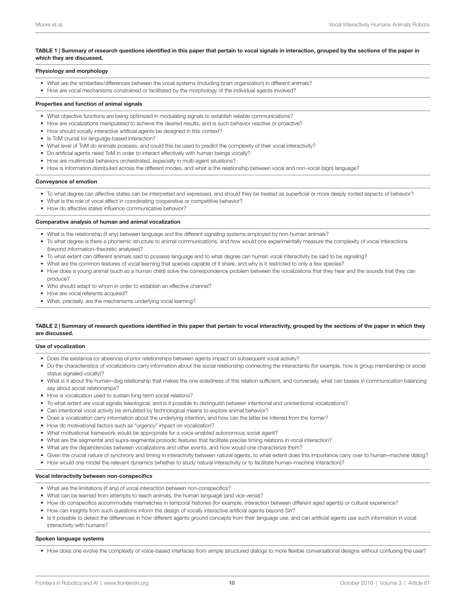#### <span id="page-9-0"></span>TABLE 1 | Summary of research questions identified in this paper that pertain to vocal signals in interaction, grouped by the sections of the paper in which they are discussed.

#### Physiology and morphology

- What are the similarities/differences between the vocal systems (including brain organization) in different animals?
- How are vocal mechanisms constrained or facilitated by the morphology of the individual agents involved?

#### Properties and function of animal signals

- What objective functions are being optimized in modulating signals to establish reliable communications?
- How are vocalizations manipulated to achieve the desired results, and is such behavior reactive or proactive?
- How should vocally interactive artificial agents be designed in this context?
- Is ToM crucial for language-based interaction?
- What level of ToM do animals possess, and could this be used to predict the complexity of their vocal interactivity?
- Do artificial agents need ToM in order to interact effectively with human beings vocally?
- How are multimodal behaviors orchestrated, especially in multi-agent situations?
- How is information distributed across the different modes, and what is the relationship between vocal and non-vocal (sign) language?

#### Conveyance of emotion

- To what degree can affective states can be interpreted and expressed, and should they be treated as superficial or more deeply rooted aspects of behavior?
- What is the role of vocal affect in coordinating cooperative or competitive behavior?
- How do affective states influence communicative behavior?

#### Comparative analysis of human and animal vocalization

- What is the relationship (if any) between language and the different signaling systems employed by non-human animals?
- To what degree is there a phonemic structure to animal communications, and how would one experimentally measure the complexity of vocal interactions (beyond information–theoretic analyses)?
- To what extent can different animals said to possess language and to what degree can human vocal interactivity be said to be signaling?
- What are the common features of vocal learning that species capable of it share, and why is it restricted to only a few species?
- How does a young animal (such as a human child) solve the correspondence problem between the vocalizations that they hear and the sounds that they can produce?
- Who should adapt to whom in order to establish an effective channel?
- How are vocal referents acquired?
- What, precisely, are the mechanisms underlying vocal learning?

#### TABLE 2 | Summary of research questions identified in this paper that pertain to vocal interactivity, grouped by the sections of the paper in which they are discussed.

#### Use of vocalization

- Does the existence (or absence) of prior relationships between agents impact on subsequent vocal activity?
- Do the characteristics of vocalizations carry information about the social relationship connecting the interactants (for example, how is group membership or social status signaled vocally)?
- What is it about the human–dog relationship that makes the one-sidedness of this relation sufficient, and conversely, what can biases in communication balancing say about social relationships?
- How is vocalization used to sustain long-term social relations?
- To what extent are vocal signals teleological, and is it possible to distinguish between intentional and unintentional vocalizations?
- Can intentional vocal activity be simulated by technological means to explore animal behavior?
- Does a vocalization carry information about the underlying intention, and how can the latter be inferred from the former?
- How do motivational factors such as "urgency" impact on vocalization?
- What motivational framework would be appropriate for a voice-enabled autonomous social agent?
- What are the segmental and supra-segmental prosodic features that facilitate precise timing relations in vocal interaction?
- What are the dependencies between vocalizations and other events, and how would one characterize them?
- Given the crucial nature of synchrony and timing in interactivity between natural agents, to what extent does this importance carry over to human–machine dialog?
- How would one model the relevant dynamics (whether to study natural interactivity or to facilitate human–machine interaction)?

#### Vocal interactivity between non-conspecifics

- What are the limitations (if any) of vocal interaction between non-conspecifics?
- What can be learned from attempts to teach animals, the human language (and vice versa)?
- How do conspecifics accommodate mismatches in temporal histories (for example, interaction between different aged agents) or cultural experience?
- How can insights from such questions inform the design of vocally interactive artificial agents beyond *Siri*?
- Is it possible to detect the differences in how different agents ground concepts from their language use, and can artificial agents use such information in vocal interactivity with humans?

#### Spoken language systems

• How does one evolve the complexity of voice-based interfaces from simple structured dialogs to more flexible conversational designs without confusing the user?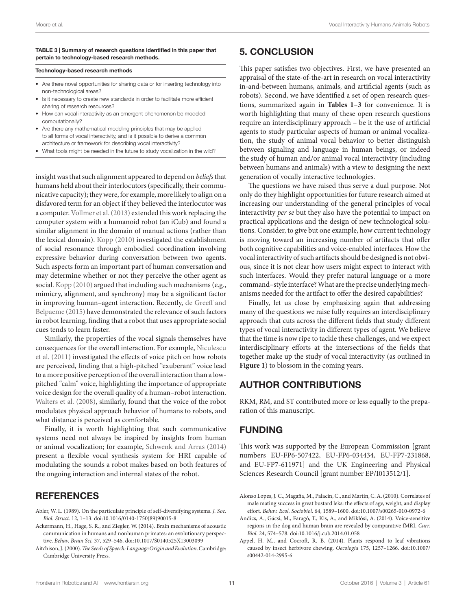#### <span id="page-10-6"></span>TABLE 3 | Summary of research questions identified in this paper that pertain to technology-based research methods.

#### Technology-based research methods

- Are there novel opportunities for sharing data or for inserting technology into non-technological areas?
- Is it necessary to create new standards in order to facilitate more efficient sharing of research resources?
- How can vocal interactivity as an emergent phenomenon be modeled computationally?
- Are there any mathematical modeling principles that may be applied to all forms of vocal interactivity, and is it possible to derive a common architecture or framework for describing vocal interactivity?
- What tools might be needed in the future to study vocalization in the wild?

insight was that such alignment appeared to depend on *beliefs* that humans held about their interlocutors (specifically, their communicative capacity); they were, for example, more likely to align on a disfavored term for an object if they believed the interlocutor was a computer. [Vollmer et al. \(2013\)](#page-15-47) extended this work replacing the computer system with a humanoid robot (an iCub) and found a similar alignment in the domain of manual actions (rather than the lexical domain). [Kopp \(2010\)](#page-13-51) investigated the establishment of social resonance through embodied coordination involving expressive behavior during conversation between two agents. Such aspects form an important part of human conversation and may determine whether or not they perceive the other agent as social. [Kopp \(2010\)](#page-13-51) argued that including such mechanisms (e.g., mimicry, alignment, and synchrony) may be a significant factor in improving human–agent interaction. Recently, [de Greeff and](#page-11-50) [Belpaeme \(2015\)](#page-11-50) have demonstrated the relevance of such factors in robot learning, finding that a robot that uses appropriate social cues tends to learn faster.

Similarly, the properties of the vocal signals themselves have consequences for the overall interaction. For example, [Niculescu](#page-14-48) [et al. \(2011\)](#page-14-48) investigated the effects of voice pitch on how robots are perceived, finding that a high-pitched "exuberant" voice lead to a more positive perception of the overall interaction than a lowpitched "calm" voice, highlighting the importance of appropriate voice design for the overall quality of a human–robot interaction. [Walters et al. \(2008\)](#page-16-16), similarly, found that the voice of the robot modulates physical approach behavior of humans to robots, and what distance is perceived as comfortable.

Finally, it is worth highlighting that such communicative systems need not always be inspired by insights from human or animal vocalization; for example, [Schwenk and Arras \(2014\)](#page-15-22) present a flexible vocal synthesis system for HRI capable of modulating the sounds a robot makes based on both features of the ongoing interaction and internal states of the robot.

### **REFERENCES**

- <span id="page-10-3"></span>Abler, W. L. (1989). On the particulate principle of self-diversifying systems. *J. Soc. Biol. Struct.* 12, 1–13. doi:[10.1016/0140-1750\(89\)90015-8](http://dx.doi.org/10.1016/0140-1750(89)90015-8)
- <span id="page-10-1"></span>Ackermann, H., Hage, S. R., and Ziegler, W. (2014). Brain mechanisms of acoustic communication in humans and nonhuman primates: an evolutionary perspective. *Behav. Brain Sci.* 37, 529–546. doi[:10.1017/S0140525X13003099](http://dx.doi.org/10.1017/S0140525X13003099)
- <span id="page-10-4"></span>Aitchison, J. (2000). *The Seeds of Speech: Language Origin and Evolution*. Cambridge: Cambridge University Press.

### 5. CONCLUSION

This paper satisfies two objectives. First, we have presented an appraisal of the state-of-the-art in research on vocal interactivity in-and-between humans, animals, and artificial agents (such as robots). Second, we have identified a set of open research questions, summarized again in **[Tables 1](#page-9-0)**–**[3](#page-10-6)** for convenience. It is worth highlighting that many of these open research questions require an interdisciplinary approach – be it the use of artificial agents to study particular aspects of human or animal vocalization, the study of animal vocal behavior to better distinguish between signaling and language in human beings, or indeed the study of human and/or animal vocal interactivity (including between humans and animals) with a view to designing the next generation of vocally interactive technologies.

The questions we have raised thus serve a dual purpose. Not only do they highlight opportunities for future research aimed at increasing our understanding of the general principles of vocal interactivity *per se* but they also have the potential to impact on practical applications and the design of new technological solutions. Consider, to give but one example, how current technology is moving toward an increasing number of artifacts that offer both cognitive capabilities and voice-enabled interfaces. How the vocal interactivity of such artifacts should be designed is not obvious, since it is not clear how users might expect to interact with such interfaces. Would they prefer natural language or a more command–style interface? What are the precise underlying mechanisms needed for the artifact to offer the desired capabilities?

Finally, let us close by emphasizing again that addressing many of the questions we raise fully requires an interdisciplinary approach that cuts across the different fields that study different types of vocal interactivity in different types of agent. We believe that the time is now ripe to tackle these challenges, and we expect interdisciplinary efforts at the intersections of the fields that together make up the study of vocal interactivity (as outlined in [Figure 1](#page-1-2)) to blossom in the coming years.

### AUTHOR CONTRIBUTIONS

RKM, RM, and ST contributed more or less equally to the preparation of this manuscript.

### FUNDING

This work was supported by the European Commission [grant numbers EU-FP6-507422, EU-FP6-034434, EU-FP7-231868, and EU-FP7-611971] and the UK Engineering and Physical Sciences Research Council [grant number EP/I013512/1].

<span id="page-10-5"></span>Alonso Lopes, J. C., Magaña, M., Palacín, C., and Martín, C. A. (2010). Correlates of male mating success in great bustard leks: the effects of age, weight, and display effort. *Behav. Ecol. Sociobiol.* 64, 1589–1600. doi[:10.1007/s00265-010-0972-6](http://dx.doi.org/10.1007/s00265-010-0972-6) 

<span id="page-10-2"></span>Andics, A., Gácsi, M., Faragó, T., Kis, A., and Miklósi, A. (2014). Voice-sensitive regions in the dog and human brain are revealed by comparative fMRI. *Curr. Biol.* 24, 574–578. doi:[10.1016/j.cub.2014.01.058](http://dx.doi.org/10.1016/j.cub.2014.01.058) 

<span id="page-10-0"></span>Appel, H. M., and Cocroft, R. B. (2014). Plants respond to leaf vibrations caused by insect herbivore chewing. *Oecologia* 175, 1257–1266. doi[:10.1007/](http://dx.doi.org/10.1007/s00442-014-2995-6) [s00442-014-2995-6](http://dx.doi.org/10.1007/s00442-014-2995-6)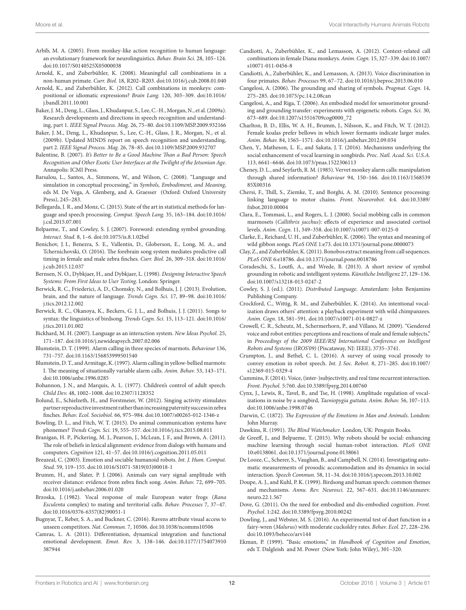- <span id="page-11-1"></span>Arbib, M. A. (2005). From monkey-like action recognition to human language: an evolutionary framework for neurolinguistics. *Behav. Brain Sci.* 28, 105–124. doi:[10.1017/S0140525X05000038](http://dx.doi.org/10.1017/S0140525X05000038)
- <span id="page-11-7"></span>Arnold, K., and Zuberbühler, K. (2008). Meaningful call combinations in a non-human primate. *Curr. Biol.* 18, R202–R203. doi[:10.1016/j.cub.2008.01.040](http://dx.doi.org/10.1016/j.cub.2008.01.040)
- <span id="page-11-23"></span>Arnold, K., and Zuberbühler, K. (2012). Call combinations in monkeys: compositional or idiomatic expressions? *Brain Lang.* 120, 303–309. doi[:10.1016/](http://dx.doi.org/10.1016/j.bandl.2011.10.001) [j.bandl.2011.10.001](http://dx.doi.org/10.1016/j.bandl.2011.10.001)
- <span id="page-11-38"></span>Baker, J. M., Deng, L., Glass, J., Khudanpur, S., Lee, C.-H., Morgan, N., et al. (2009a). Research developments and directions in speech recognition and understanding, part 1. *IEEE Signal Process. Mag.* 26, 75–80. doi[:10.1109/MSP.2009.932166](http://dx.doi.org/10.1109/MSP.2009.932166)
- <span id="page-11-44"></span>Baker, J. M., Deng, L., Khudanpur, S., Lee, C.-H., Glass, J. R., Morgan, N., et al. (2009b). Updated MINDS report on speech recognition and understanding, part 2. *IEEE Signal Process. Mag.* 26, 78–85. doi[:10.1109/MSP.2009.932707](http://dx.doi.org/10.1109/MSP.2009.932707)
- <span id="page-11-43"></span>Balentine, B. (2007). *It's Better to Be a Good Machine Than a Bad Person: Speech Recognition and Other Exotic User Interfaces at the Twilight of the Jetsonian Age*. Annapolis: ICMI Press.
- <span id="page-11-13"></span>Barsalou, L., Santos, A., Simmons, W., and Wilson, C. (2008). "Language and simulation in conceptual processing," in *Symbols, Embodiment, and Meaning*, eds M. De Vega, A. Glenberg, and A. Graesser (Oxford: Oxford University Press), 245–283.
- <span id="page-11-37"></span>Bellegarda, J. R., and Monz, C. (2015). State of the art in statistical methods for language and speech processing. *Comput. Speech Lang.* 35, 163–184. doi[:10.1016/](http://dx.doi.org/10.1016/j.csl.2015.07.001) [j.csl.2015.07.001](http://dx.doi.org/10.1016/j.csl.2015.07.001)
- <span id="page-11-48"></span>Belpaeme, T., and Cowley, S. J. (2007). Foreword: extending symbol grounding. *Interact. Stud.* 8, 1–6. doi[:10.1075/is.8.1.02bel](http://dx.doi.org/10.1075/is.8.1.02bel)
- <span id="page-11-35"></span>Benichov, J. I., Benezra, S. E., Vallentin, D., Globerson, E., Long, M. A., and Tchernichovski, O. (2016). The forebrain song system mediates predictive call timing in female and male zebra finches. *Curr. Biol.* 26, 309–318. doi[:10.1016/](http://dx.doi.org/10.1016/j.cub.2015.12.037) [j.cub.2015.12.037](http://dx.doi.org/10.1016/j.cub.2015.12.037)
- <span id="page-11-39"></span>Bernsen, N. O., Dybkjaer, H., and Dybkjaer, L. (1998). *Designing Interactive Speech Systems: From First Ideas to User Testing*. London: Springer.
- <span id="page-11-21"></span>Berwick, R. C., Friederici, A. D., Chomsky, N., and Bolhuis, J. J. (2013). Evolution, brain, and the nature of language. *Trends Cogn. Sci.* 17, 89–98. doi[:10.1016/](http://dx.doi.org/10.1016/j.tics.2012.12.002) [j.tics.2012.12.002](http://dx.doi.org/10.1016/j.tics.2012.12.002)
- <span id="page-11-22"></span>Berwick, R. C., Okanoya, K., Beckers, G. J. L., and Bolhuis, J. J. (2011). Songs to syntax: the linguistics of birdsong. *Trends Cogn. Sci.* 15, 113–121. doi[:10.1016/](http://dx.doi.org/10.1016/j.tics.2011.01.002) [j.tics.2011.01.002](http://dx.doi.org/10.1016/j.tics.2011.01.002)
- <span id="page-11-15"></span>Bickhard, M. H. (2007). Language as an interaction system. *New Ideas Psychol.* 25, 171–187. doi:[10.1016/j.newideapsych.2007.02.006](http://dx.doi.org/10.1016/j.newideapsych.2007.02.006)
- <span id="page-11-27"></span>Blumstein, D. T. (1999). Alarm calling in three species of marmots. *Behaviour* 136, 731–757. doi:[10.1163/156853999501540](http://dx.doi.org/10.1163/156853999501540)
- <span id="page-11-4"></span>Blumstein, D. T., and Armitage, K. (1997). Alarm calling in yellow-bellied marmots: I. The meaning of situationally variable alarm calls. *Anim. Behav.* 53, 143–171. doi:[10.1006/anbe.1996.0285](http://dx.doi.org/10.1006/anbe.1996.0285)
- <span id="page-11-26"></span>Bohannon, J. N., and Marquis, A. L. (1977). Children's control of adult speech. *Child Dev.* 48, 1002–1008. doi:[10.2307/1128352](http://dx.doi.org/10.2307/1128352)
- <span id="page-11-29"></span>Bolund, E., Schielzeth, H., and Forstmeier, W. (2012). Singing activity stimulates partner reproductive investment rather than increasing paternity success in zebra finches. *Behav. Ecol. Sociobiol.* 66, 975–984. doi[:10.1007/s00265-012-1346-z](http://dx.doi.org/10.1007/s00265-012-1346-z)
- <span id="page-11-24"></span>Bowling, D. L., and Fitch, W. T. (2015). Do animal communication systems have phonemes? *Trends Cogn. Sci.* 19, 555–557. doi[:10.1016/j.tics.2015.08.011](http://dx.doi.org/10.1016/j.tics.2015.08.011)

<span id="page-11-49"></span>Branigan, H. P., Pickering, M. J., Pearson, J., McLean, J. F., and Brown, A. (2011). The role of beliefs in lexical alignment: evidence from dialogs with humans and computers. *Cognition* 121, 41–57. doi[:10.1016/j.cognition.2011.05.011](http://dx.doi.org/10.1016/j.cognition.2011.05.011) 

<span id="page-11-41"></span>Breazeal, C. (2003). Emotion and sociable humanoid robots. *Int. J. Hum. Comput. Stud.* 59, 119–155. doi[:10.1016/S1071-5819\(03\)00018-1](http://dx.doi.org/10.1016/S1071-5819(03)00018-1) 

- <span id="page-11-9"></span>Brumm, H., and Slater, P. J. (2006). Animals can vary signal amplitude with receiver distance: evidence from zebra finch song. *Anim. Behav.* 72, 699–705. doi:[10.1016/j.anbehav.2006.01.020](http://dx.doi.org/10.1016/j.anbehav.2006.01.020)
- <span id="page-11-30"></span>Brzoska, J. (1982). Vocal response of male European water frogs (*Rana Esculenta* complex) to mating and territorial calls. *Behav. Processes* 7, 37–47. doi:[10.1016/0376-6357\(82\)90051-1](http://dx.doi.org/10.1016/0376-6357(82)90051-1)
- <span id="page-11-10"></span>Bugnyar, T., Reber, S. A., and Buckner, C. (2016). Ravens attribute visual access to unseen competitors. *Nat. Commun.* 7, 10506. doi:[10.1038/ncomms10506](http://dx.doi.org/10.1038/ncomms10506)
- <span id="page-11-20"></span>Camras, L. A. (2011). Differentiation, dynamical integration and functional emotional development. *Emot. Rev.* 3, 138–146. doi[:10.1177/1754073910](http://dx.doi.org/10.1177/1754073910387944) [387944](http://dx.doi.org/10.1177/1754073910387944)
- <span id="page-11-6"></span>Candiotti, A., Zuberbühler, K., and Lemasson, A. (2012). Context-related call combinations in female Diana monkeys. *Anim. Cogn.* 15, 327–339. doi[:10.1007/](http://dx.doi.org/10.1007/s10071-011-0456-8) [s10071-011-0456-8](http://dx.doi.org/10.1007/s10071-011-0456-8)
- <span id="page-11-32"></span>Candiotti, A., Zuberbühler, K., and Lemasson, A. (2013). Voice discrimination in four primates. *Behav. Processes* 99, 67–72. doi:[10.1016/j.beproc.2013.06.010](http://dx.doi.org/10.1016/j.beproc.2013.06.010)
- <span id="page-11-45"></span>Cangelosi, A. (2006). The grounding and sharing of symbols. *Pragmat. Cogn.* 14, 275–285. doi[:10.1075/pc.14.2.08can](http://dx.doi.org/10.1075/pc.14.2.08can)
- <span id="page-11-47"></span>Cangelosi, A., and Riga, T. (2006). An embodied model for sensorimotor grounding and grounding transfer: experiments with epigenetic robots. *Cogn. Sci.* 30, 673–689. doi[:10.1207/s15516709cog0000\\_72](http://dx.doi.org/10.1207/s15516709cog0000_72)
- <span id="page-11-31"></span>Charlton, B. D., Ellis, W. A. H., Brumm, J., Nilsson, K., and Fitch, W. T. (2012). Female koalas prefer bellows in which lower formants indicate larger males. *Anim. Behav.* 84, 1565–1571. doi[:10.1016/j.anbehav.2012.09.034](http://dx.doi.org/10.1016/j.anbehav.2012.09.034)
- <span id="page-11-25"></span>Chen, Y., Matheson, L. E., and Sakata, J. T. (2016). Mechanisms underlying the social enhancement of vocal learning in songbirds. *Proc. Natl. Acad. Sci. U.S.A.* 113, 6641–6646. doi:[10.1073/pnas.1522306113](http://dx.doi.org/10.1073/pnas.1522306113)
- <span id="page-11-3"></span>Cheney, D. L., and Seyfarth, R. M. (1985). Vervet monkey alarm calls: manipulation through shared information? *Behaviour* 94, 150–166. doi:[10.1163/1568539](http://dx.doi.org/10.1163/156853985X00316) [85X00316](http://dx.doi.org/10.1163/156853985X00316)
- <span id="page-11-12"></span>Chersi, F., Thill, S., Ziemke, T., and Borghi, A. M. (2010). Sentence processing: linking language to motor chains. *Front. Neurorobot.* 4:4. doi[:10.3389/](http://dx.doi.org/10.3389/fnbot.2010.00004) [fnbot.2010.00004](http://dx.doi.org/10.3389/fnbot.2010.00004)
- <span id="page-11-28"></span>Clara, E., Tommasi, L., and Rogers, L. J. (2008). Social mobbing calls in common marmosets (*Callithrix jacchus*): effects of experience and associated cortisol levels. *Anim. Cogn.* 11, 349–358. doi:[10.1007/s10071-007-0125-0](http://dx.doi.org/10.1007/s10071-007-0125-0)
- <span id="page-11-8"></span>Clarke, E., Reichard, U. H., and Zuberbühler, K. (2006). The syntax and meaning of wild gibbon songs. *PLoS ONE* 1:e73. doi:[10.1371/journal.pone.0000073](http://dx.doi.org/10.1371/journal.pone.0000073)
- <span id="page-11-5"></span>Clay, Z., and Zuberbühler, K. (2011). Bonobos extract meaning from call sequences. *PLoS ONE* 6:e18786. doi:[10.1371/journal.pone.0018786](http://dx.doi.org/10.1371/journal.pone.0018786)
- <span id="page-11-46"></span>Coradeschi, S., Loutfi, A., and Wrede, B. (2013). A short review of symbol grounding in robotic and intelligent systems. *Künstliche Intelligenz* 27, 129–136. doi[:10.1007/s13218-013-0247-2](http://dx.doi.org/10.1007/s13218-013-0247-2)
- <span id="page-11-16"></span>Cowley, S. J. (ed.). (2011). *Distributed Language*. Amsterdam: John Benjamins Publishing Company.
- <span id="page-11-33"></span>Crockford, C., Wittig, R. M., and Zuberbühler, K. (2014). An intentional vocalization draws others' attention: a playback experiment with wild chimpanzees. *Anim. Cogn.* 18, 581–591. doi:[10.1007/s10071-014-0827-z](http://dx.doi.org/10.1007/s10071-014-0827-z)
- <span id="page-11-40"></span>Crowell, C. R., Scheutz, M., Schermerhorn, P., and Villano, M. (2009). "Gendered voice and robot entities: perceptions and reactions of male and female subjects," in *Proceedings of the 2009 IEEE/RSJ International Conference on Intelligent Robots and Systems (IROS'09)* (Piscataway, NJ: IEEE), 3735–3741.
- <span id="page-11-42"></span>Crumpton, J., and Bethel, C. L. (2016). A survey of using vocal prosody to convey emotion in robot speech. *Int. J. Soc. Robot.* 8, 271–285. doi[:10.1007/](http://dx.doi.org/10.1007/s12369-015-0329-4) [s12369-015-0329-4](http://dx.doi.org/10.1007/s12369-015-0329-4)
- <span id="page-11-17"></span>Cummins, F. (2014). Voice, (inter-)subjectivity, and real time recurrent interaction. *Front. Psychol.* 5:760. doi[:10.3389/fpsyg.2014.00760](http://dx.doi.org/10.3389/fpsyg.2014.00760)
- <span id="page-11-2"></span>Cynx, J., Lewis, R., Tavel, B., and Tse, H. (1998). Amplitude regulation of vocalizations in noise by a songbird, *Taeniopygia guttata*. *Anim. Behav.* 56, 107–113. doi[:10.1006/anbe.1998.0746](http://dx.doi.org/10.1006/anbe.1998.0746)
- <span id="page-11-18"></span>Darwin, C. (1872). *The Expression of the Emotions in Man and Animals*. London: John Murray.
- <span id="page-11-11"></span>Dawkins, R. (1991). *The Blind Watchmaker*. London, UK: Penguin Books.
- <span id="page-11-50"></span>de Greeff, J., and Belpaeme, T. (2015). Why robots should be social: enhancing machine learning through social human-robot interaction. *PLoS ONE* 10:e0138061. doi[:10.1371/journal.pone.0138061](http://dx.doi.org/10.1371/journal.pone.0138061)
- <span id="page-11-36"></span>De Looze, C., Scherer, S., Vaughan, B., and Campbell, N. (2014). Investigating automatic measurements of prosodic accommodation and its dynamics in social interaction. *Speech Commun.* 58, 11–34. doi[:10.1016/j.specom.2013.10.002](http://dx.doi.org/10.1016/j.specom.2013.10.002)
- <span id="page-11-0"></span>Doupe, A. J., and Kuhl, P. K. (1999). Birdsong and human speech: common themes and mechanisms. *Annu. Rev. Neurosci.* 22, 567–631. doi[:10.1146/annurev.](http://dx.doi.org/10.1146/annurev.neuro.22.1.567) [neuro.22.1.567](http://dx.doi.org/10.1146/annurev.neuro.22.1.567)
- <span id="page-11-14"></span>Dove, G. (2011). On the need for embodied and dis-embodied cognition. *Front. Psychol.* 1:242. doi[:10.3389/fpsyg.2010.00242](http://dx.doi.org/10.3389/fpsyg.2010.00242)
- <span id="page-11-34"></span>Dowling, J., and Webster, M. S. (2016). An experimental test of duet function in a fairy-wren (*Malurus*) with moderate cuckoldry rates. *Behav. Ecol.* 27, 228–236. doi[:10.1093/beheco/arv144](http://dx.doi.org/10.1093/beheco/arv144)
- <span id="page-11-19"></span>Ekman, P. (1999). "Basic emotions," in *Handbook of Cognition and Emotion*, eds T. Dalgleish and M. Power (New York: John Wiley), 301–320.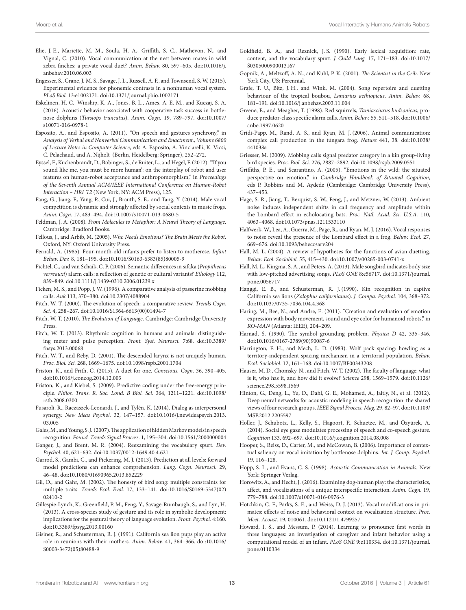- <span id="page-12-36"></span>Elie, J. E., Mariette, M. M., Soula, H. A., Griffith, S. C., Mathevon, N., and Vignal, C. (2010). Vocal communication at the nest between mates in wild zebra finches: a private vocal duet? *Anim. Behav.* 80, 597–605. doi:[10.1016/j.](http://dx.doi.org/10.1016/j.anbehav.2010.06.003) [anbehav.2010.06.003](http://dx.doi.org/10.1016/j.anbehav.2010.06.003)
- <span id="page-12-23"></span>Engesser, S., Crane, J. M. S., Savage, J. L., Russell, A. F., and Townsend, S. W. (2015). Experimental evidence for phonemic contrasts in a nonhuman vocal system. *PLoS Biol.* 13:e1002171. doi[:10.1371/journal.pbio.1002171](http://dx.doi.org/10.1371/journal.pbio.1002171)
- <span id="page-12-33"></span>Eskelinen, H. C., Winship, K. A., Jones, B. L., Ames, A. E. M., and Kuczaj, S. A. (2016). Acoustic behavior associated with cooperative task success in bottlenose dolphins (*Tursiops truncatus*). *Anim. Cogn.* 19, 789–797. doi[:10.1007/](http://dx.doi.org/10.1007/s10071-016-0978-1) [s10071-016-0978-1](http://dx.doi.org/10.1007/s10071-016-0978-1)
- <span id="page-12-8"></span>Esposito, A., and Esposito, A. (2011). "On speech and gestures synchrony," in *Analysis of Verbal and Nonverbal Communication and Enactment., Volume 6800 of Lecture Notes in Computer Science*, eds A. Esposito, A. Vinciarelli, K. Vicsi, C. Pelachaud, and A. Nijholt (Berlin, Heidelberg: Springer), 252–272.
- <span id="page-12-44"></span>Eyssel, F., Kuchenbrandt, D., Bobinger, S., de Ruiter, L., and Hegel, F. (2012). "'If you sound like me, you must be more human': on the interplay of robot and user features on human-robot acceptance and anthropomorphism," in *Proceedings of the Seventh Annual ACM/IEEE International Conference on Human-Robot Interaction – HRI '12* (New York, NY: ACM Press), 125.
- <span id="page-12-24"></span>Fang, G., Jiang, F., Yang, P., Cui, J., Brauth, S. E., and Tang, Y. (2014). Male vocal competition is dynamic and strongly affected by social contexts in music frogs. *Anim. Cogn.* 17, 483–494. doi[:10.1007/s10071-013-0680-5](http://dx.doi.org/10.1007/s10071-013-0680-5)
- <span id="page-12-15"></span>Feldman, J. A. (2008). *From Molecules to Metaphor: A Neural Theory of Language*. Cambridge: Bradford Books.
- <span id="page-12-42"></span>Fellous, J., and Arbib, M. (2005). *Who Needs Emotions? The Brain Meets the Robot*. Oxford, NY: Oxford University Press.
- <span id="page-12-21"></span>Fernald, A. (1985). Four-month-old infants prefer to listen to motherese. *Infant Behav. Dev.* 8, 181–195. doi[:10.1016/S0163-6383\(85\)80005-9](http://dx.doi.org/10.1016/S0163-6383(85)80005-9)
- <span id="page-12-25"></span>Fichtel, C., and van Schaik, C. P. (2006). Semantic differences in sifaka (*Propithecus verreauxi*) alarm calls: a reflection of genetic or cultural variants? *Ethology* 112, 839–849. doi:[10.1111/j.1439-0310.2006.01239.x](http://dx.doi.org/10.1111/j.1439-0310.2006.01239.x)
- <span id="page-12-26"></span>Ficken, M. S., and Popp, J. W. (1996). A comparative analysis of passerine mobbing calls. *Auk* 113, 370–380. doi[:10.2307/4088904](http://dx.doi.org/10.2307/4088904)
- <span id="page-12-13"></span>Fitch, W. T. (2000). The evolution of speech: a comparative review. *Trends Cogn. Sci.* 4, 258–267. doi:[10.1016/S1364-6613\(00\)01494-7](http://dx.doi.org/10.1016/S1364-6613(00)01494-7)
- <span id="page-12-14"></span>Fitch, W. T. (2010). *The Evolution of Language*. Cambridge: Cambridge University Press.
- <span id="page-12-37"></span>Fitch, W. T. (2013). Rhythmic cognition in humans and animals: distinguishing meter and pulse perception. *Front. Syst. Neurosci.* 7:68. doi[:10.3389/](http://dx.doi.org/10.3389/fnsys.2013.00068) [fnsys.2013.00068](http://dx.doi.org/10.3389/fnsys.2013.00068)
- <span id="page-12-1"></span>Fitch, W. T., and Reby, D. (2001). The descended larynx is not uniquely human. *Proc. Biol. Sci.* 268, 1669–1675. doi:[10.1098/rspb.2001.1704](http://dx.doi.org/10.1098/rspb.2001.1704)
- <span id="page-12-38"></span>Friston, K., and Frith, C. (2015). A duet for one. *Conscious. Cogn.* 36, 390–405. doi:[10.1016/j.concog.2014.12.003](http://dx.doi.org/10.1016/j.concog.2014.12.003)
- <span id="page-12-18"></span>Friston, K., and Kiebel, S. (2009). Predictive coding under the free-energy principle. *Philos. Trans. R. Soc. Lond. B Biol. Sci.* 364, 1211–1221. doi[:10.1098/](http://dx.doi.org/10.1098/rstb.2008.0300) [rstb.2008.0300](http://dx.doi.org/10.1098/rstb.2008.0300)
- <span id="page-12-20"></span>Fusaroli, R., Raczaszek-Leonardi, J., and Tylén, K. (2014). Dialog as interpersonal synergy. *New Ideas Psychol.* 32, 147–157. doi:[10.1016/j.newideapsych.2013.](http://dx.doi.org/10.1016/j.newideapsych.2013.03.005) [03.005](http://dx.doi.org/10.1016/j.newideapsych.2013.03.005)
- <span id="page-12-40"></span>Gales, M., and Young, S. J. (2007). The application of hidden Markov models in speech recognition. *Found. Trends Signal Process.* 1, 195–304. doi[:10.1561/2000000004](http://dx.doi.org/10.1561/2000000004)
- <span id="page-12-17"></span>Ganger, J., and Brent, M. R. (2004). Reexamining the vocabulary spurt. *Dev. Psychol.* 40, 621–632. doi[:10.1037/0012-1649.40.4.621](http://dx.doi.org/10.1037/0012-1649.40.4.621)
- <span id="page-12-19"></span>Garrod, S., Gambi, C., and Pickering, M. J. (2013). Prediction at all levels: forward model predictions can enhance comprehension. *Lang. Cogn. Neurosci.* 29, 46–48. doi[:10.1080/01690965.2013.852229](http://dx.doi.org/10.1080/01690965.2013.852229)
- <span id="page-12-27"></span>Gil, D., and Gahr, M. (2002). The honesty of bird song: multiple constraints for multiple traits. *Trends Ecol. Evol.* 17, 133–141. doi:[10.1016/S0169-5347\(02\)](http://dx.doi.org/10.1016/S0169-5347(02)02410-2) [02410-2](http://dx.doi.org/10.1016/S0169-5347(02)02410-2)
- <span id="page-12-9"></span>Gillespie-Lynch, K., Greenfield, P. M., Feng, Y., Savage-Rumbaugh, S., and Lyn, H. (2013). A cross-species study of gesture and its role in symbolic development: implications for the gestural theory of language evolution. *Front. Psychol.* 4:160. doi:[10.3389/fpsyg.2013.00160](http://dx.doi.org/10.3389/fpsyg.2013.00160)
- <span id="page-12-32"></span>Gisiner, R., and Schusterman, R. J. (1991). California sea lion pups play an active role in reunions with their mothers. *Anim. Behav.* 41, 364–366. doi[:10.1016/](http://dx.doi.org/10.1016/S0003-3472(05)80488-9) [S0003-3472\(05\)80488-9](http://dx.doi.org/10.1016/S0003-3472(05)80488-9)
- <span id="page-12-16"></span>Goldfield, B. A., and Reznick, J. S. (1990). Early lexical acquisition: rate, content, and the vocabulary spurt. *J. Child Lang.* 17, 171–183. doi[:10.1017/](http://dx.doi.org/10.1017/S0305000900013167) [S0305000900013167](http://dx.doi.org/10.1017/S0305000900013167)
- <span id="page-12-11"></span>Gopnik, A., Meltzoff, A. N., and Kuhl, P. K. (2001). *The Scientist in the Crib*. New York City, US: Perennial.
- <span id="page-12-34"></span>Grafe, T. U., Bitz, J. H., and Wink, M. (2004). Song repertoire and duetting behaviour of the tropical boubou, *Laniarius aethiopicus*. *Anim. Behav.* 68, 181–191. doi[:10.1016/j.anbehav.2003.11.004](http://dx.doi.org/10.1016/j.anbehav.2003.11.004)
- <span id="page-12-4"></span>Greene, E., and Meagher, T. (1998). Red squirrels, *Tamiasciurus hudsonicus*, produce predator-class specific alarm calls. *Anim. Behav.* 55, 511–518. doi[:10.1006/](http://dx.doi.org/10.1006/anbe.1997.0620) [anbe.1997.0620](http://dx.doi.org/10.1006/anbe.1997.0620)
- <span id="page-12-29"></span>Gridi-Papp, M., Rand, A. S., and Ryan, M. J. (2006). Animal communication: complex call production in the túngara frog. *Nature* 441, 38. doi[:10.1038/](http://dx.doi.org/10.1038/441038a) [441038a](http://dx.doi.org/10.1038/441038a)
- <span id="page-12-5"></span>Griesser, M. (2009). Mobbing calls signal predator category in a kin group-living bird species. *Proc. Biol. Sci.* 276, 2887–2892. doi:[10.1098/rspb.2009.0551](http://dx.doi.org/10.1098/rspb.2009.0551)
- <span id="page-12-22"></span>Griffiths, P. E., and Scarantino, A. (2005). "Emotions in the wild: the situated perspective on emotion," in *Cambridge Handbook of Situated Cognition*, eds P. Robbins and M. Aydede (Cambridge: Cambridge University Press), 437–453.
- <span id="page-12-3"></span>Hage, S. R., Jiang, T., Berquist, S. W., Feng, J., and Metzner, W. (2013). Ambient noise induces independent shifts in call frequency and amplitude within the Lombard effect in echolocating bats. *Proc. Natl. Acad. Sci. U.S.A.* 110, 4063–4068. doi:[10.1073/pnas.1211533110](http://dx.doi.org/10.1073/pnas.1211533110)
- <span id="page-12-2"></span>Halfwerk, W., Lea, A., Guerra, M., Page, R., and Ryan, M. J. (2016). Vocal responses to noise reveal the presence of the Lombard effect in a frog. *Behav. Ecol.* 27, 669–676. doi[:10.1093/beheco/arv204](http://dx.doi.org/10.1093/beheco/arv204)
- <span id="page-12-35"></span>Hall, M. L. (2004). A review of hypotheses for the functions of avian duetting. *Behav. Ecol. Sociobiol.* 55, 415–430. doi[:10.1007/s00265-003-0741-x](http://dx.doi.org/10.1007/s00265-003-0741-x)
- <span id="page-12-28"></span>Hall, M. L., Kingma, S. A., and Peters, A. (2013). Male songbird indicates body size with low-pitched advertising songs. *PLoS ONE* 8:e56717. doi:[10.1371/journal.](http://dx.doi.org/10.1371/journal.pone.0056717) [pone.0056717](http://dx.doi.org/10.1371/journal.pone.0056717)
- <span id="page-12-31"></span>Hanggi, E. B., and Schusterman, R. J. (1990). Kin recognition in captive California sea lions (*Zalophus californianus*). *J. Compa. Psychol.* 104, 368–372. doi[:10.1037/0735-7036.104.4.368](http://dx.doi.org/10.1037/0735-7036.104.4.368)
- <span id="page-12-43"></span>Haring, M., Bee, N., and Andre, E. (2011). "Creation and evaluation of emotion expression with body movement, sound and eye color for humanoid robots," in *RO-MAN* (Atlanta: IEEE), 204–209.
- <span id="page-12-46"></span>Harnad, S. (1990). The symbol grounding problem. *Physica D* 42, 335–346. doi[:10.1016/0167-2789\(90\)90087-6](http://dx.doi.org/10.1016/0167-2789(90)90087-6)
- <span id="page-12-30"></span>Harrington, F. H., and Mech, L. D. (1983). Wolf pack spacing: howling as a territory-independent spacing mechanism in a territorial population. *Behav. Ecol. Sociobiol.* 12, 161–168. doi:[10.1007/BF00343208](http://dx.doi.org/10.1007/BF00343208)
- <span id="page-12-12"></span>Hauser, M. D., Chomsky, N., and Fitch, W. T. (2002). The faculty of language: what is it, who has it, and how did it evolve? *Science* 298, 1569–1579. doi[:10.1126/](http://dx.doi.org/10.1126/science.298.5598.1569) [science.298.5598.1569](http://dx.doi.org/10.1126/science.298.5598.1569)
- <span id="page-12-41"></span>Hinton, G., Deng, L., Yu, D., Dahl, G. E., Mohamed, A., Jaitly, N., et al. (2012). Deep neural networks for acoustic modeling in speech recognition: the shared views of four research groups. *IEEE Signal Process. Mag.* 29, 82–97. doi[:10.1109/](http://dx.doi.org/10.1109/MSP.2012.2205597) [MSP.2012.2205597](http://dx.doi.org/10.1109/MSP.2012.2205597)
- <span id="page-12-10"></span>Holler, J., Schubotz, L., Kelly, S., Hagoort, P., Schuetze, M., and Özyürek, A. (2014). Social eye gaze modulates processing of speech and co-speech gesture. *Cognition* 133, 692–697. doi[:10.1016/j.cognition.2014.08.008](http://dx.doi.org/10.1016/j.cognition.2014.08.008)
- <span id="page-12-6"></span>Hooper, S., Reiss, D., Carter, M., and McCowan, B. (2006). Importance of contextual saliency on vocal imitation by bottlenose dolphins. *Int. J. Comp. Psychol.* 19, 116–128.
- <span id="page-12-0"></span>Hopp, S. L., and Evans, C. S. (1998). *Acoustic Communication in Animals*. New York: Springer Verlag.
- <span id="page-12-39"></span>Horowitz, A., and Hecht, J. (2016). Examining dog-human play: the characteristics, affect, and vocalizations of a unique interspecific interaction. *Anim. Cogn.* 19, 779–788. doi[:10.1007/s10071-016-0976-3](http://dx.doi.org/10.1007/s10071-016-0976-3)
- <span id="page-12-7"></span>Hotchkin, C. F., Parks, S. E., and Weiss, D. J. (2013). Vocal modifications in primates: effects of noise and behavioral context on vocalization structure. *Proc. Meet. Acoust.* 19, 010061. doi[:10.1121/1.4799257](http://dx.doi.org/10.1121/1.4799257)
- <span id="page-12-45"></span>Howard, I. S., and Messum, P. (2014). Learning to pronounce first words in three languages: an investigation of caregiver and infant behavior using a computational model of an infant. *PLoS ONE* 9:e110334. doi:[10.1371/journal.](http://dx.doi.org/10.1371/journal.pone.0110334) [pone.0110334](http://dx.doi.org/10.1371/journal.pone.0110334)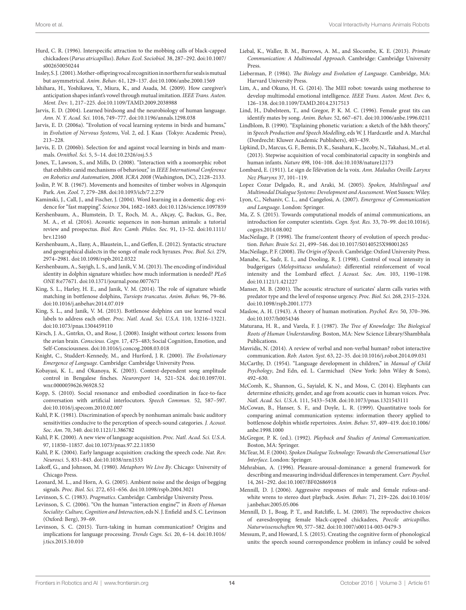- <span id="page-13-33"></span>Hurd, C. R. (1996). Interspecific attraction to the mobbing calls of black-capped chickadees (*Parus atricapillus*). *Behav. Ecol. Sociobiol.* 38, 287–292. doi[:10.1007/](http://dx.doi.org/10.1007/s002650050244) [s002650050244](http://dx.doi.org/10.1007/s002650050244)
- <span id="page-13-36"></span>Insley, S. J. (2001). Mother-offspring vocal recognition in northern fur seals is mutual but asymmetrical. *Anim. Behav.* 61, 129–137. doi:[10.1006/anbe.2000.1569](http://dx.doi.org/10.1006/anbe.2000.1569)
- <span id="page-13-50"></span>Ishihara, H., Yoshikawa, Y., Miura, K., and Asada, M. (2009). How caregiver's anticipation shapes infant's vowel through mutual imitation. *IEEE Trans. Auton. Ment. Dev.* 1, 217–225. doi[:10.1109/TAMD.2009.2038988](http://dx.doi.org/10.1109/TAMD.2009.2038988)
- <span id="page-13-0"></span>Jarvis, E. D. (2004). Learned birdsong and the neurobiology of human language. *Ann. N. Y. Acad. Sci.* 1016, 749–777. doi:[10.1196/annals.1298.038](http://dx.doi.org/10.1196/annals.1298.038)
- <span id="page-13-27"></span>Jarvis, E. D. (2006a). "Evolution of vocal learning systems in birds and humans," in *Evolution of Nervous Systems*, Vol. 2, ed. J. Kaas (Tokyo: Academic Press), 213–228.
- <span id="page-13-28"></span>Jarvis, E. D. (2006b). Selection for and against vocal learning in birds and mammals. *Ornithol. Sci.* 5, 5–14. doi:[10.2326/osj.5.5](http://dx.doi.org/10.2326/osj.5.5)
- <span id="page-13-45"></span>Jones, T., Lawson, S., and Mills, D. (2008). "Interaction with a zoomorphic robot that exhibits canid mechanisms of behaviour," in *IEEE International Conference on Robotics and Automation, 2008. ICRA 2008* (Washington, DC), 2128–2133.
- <span id="page-13-41"></span>Joslin, P. W. B. (1967). Movements and homesites of timber wolves in Algonquin Park. *Am. Zool.* 7, 279–288. doi:[10.1093/icb/7.2.279](http://dx.doi.org/10.1093/icb/7.2.279)
- <span id="page-13-43"></span>Kaminski, J., Call, J., and Fischer, J. (2004). Word learning in a domestic dog: evidence for "fast mapping". *Science* 304, 1682–1683. doi:[10.1126/science.1097859](http://dx.doi.org/10.1126/science.1097859)
- <span id="page-13-9"></span>Kershenbaum, A., Blumstein, D. T., Roch, M. A., Akçay, Ç, Backus, G., Bee, M. A., et al. (2016). Acoustic sequences in non-human animals: a tutorial review and prospectus. *Biol. Rev. Camb. Philos. Soc.* 91, 13–52. doi[:10.1111/](http://dx.doi.org/10.1111/brv.12160) [brv.12160](http://dx.doi.org/10.1111/brv.12160)
- <span id="page-13-8"></span>Kershenbaum, A., Ilany, A., Blaustein, L., and Geffen, E. (2012). Syntactic structure and geographical dialects in the songs of male rock hyraxes. *Proc. Biol. Sci.* 279, 2974–2981. doi:[10.1098/rspb.2012.0322](http://dx.doi.org/10.1098/rspb.2012.0322)
- <span id="page-13-38"></span>Kershenbaum, A., Sayigh, L. S., and Janik, V. M. (2013). The encoding of individual identity in dolphin signature whistles: how much information is needed? *PLoS ONE* 8:e77671. doi:[10.1371/journal.pone.0077671](http://dx.doi.org/10.1371/journal.pone.0077671)
- <span id="page-13-31"></span>King, S. L., Harley, H. E., and Janik, V. M. (2014). The role of signature whistle matching in bottlenose dolphins, *Tursiops truncatus*. *Anim. Behav.* 96, 79–86. doi:[10.1016/j.anbehav.2014.07.019](http://dx.doi.org/10.1016/j.anbehav.2014.07.019)
- <span id="page-13-30"></span>King, S. L., and Janik, V. M. (2013). Bottlenose dolphins can use learned vocal labels to address each other. *Proc. Natl. Acad. Sci. U.S.A.* 110, 13216–13221. doi:[10.1073/pnas.1304459110](http://dx.doi.org/10.1073/pnas.1304459110)
- <span id="page-13-10"></span>Kirsch, J. A., Gntrkn, O., and Rose, J. (2008). Insight without cortex: lessons from the avian brain. *Conscious. Cogn.* 17, 475–483; Social Cognition, Emotion, and Self-Consciousness. doi:[10.1016/j.concog.2008.03.018](http://dx.doi.org/10.1016/j.concog.2008.03.018)
- <span id="page-13-24"></span>Knight, C., Studdert-Kennedy, M., and Hurford, J. R. (2000). *The Evolutionary Emergence of Language*. Cambridge: Cambridge University Press.
- <span id="page-13-4"></span>Kobayasi, K. I., and Okanoya, K. (2003). Context-dependent song amplitude control in Bengalese finches. *Neuroreport* 14, 521–524. doi[:10.1097/01.](http://dx.doi.org/10.1097/01.wnr.0000059626.96928.52) [wnr.0000059626.96928.52](http://dx.doi.org/10.1097/01.wnr.0000059626.96928.52)
- <span id="page-13-51"></span>Kopp, S. (2010). Social resonance and embodied coordination in face-to-face conversation with artificial interlocutors. *Speech Commun.* 52, 587–597. doi:[10.1016/j.specom.2010.02.007](http://dx.doi.org/10.1016/j.specom.2010.02.007)
- <span id="page-13-42"></span>Kuhl, P. K. (1981). Discrimination of speech by nonhuman animals: basic auditory sensitivities conducive to the perception of speech-sound categories. *J. Acoust. Soc. Am.* 70, 340. doi[:10.1121/1.386782](http://dx.doi.org/10.1121/1.386782)
- <span id="page-13-15"></span>Kuhl, P. K. (2000). A new view of language acquisition. *Proc. Natl. Acad. Sci. U.S.A.* 97, 11850–11857. doi:[10.1073/pnas.97.22.11850](http://dx.doi.org/10.1073/pnas.97.22.11850)
- <span id="page-13-16"></span>Kuhl, P. K. (2004). Early language acquisition: cracking the speech code. *Nat. Rev. Neurosci.* 5, 831–843. doi:[10.1038/nrn1533](http://dx.doi.org/10.1038/nrn1533)
- <span id="page-13-14"></span>Lakoff, G., and Johnson, M. (1980). *Metaphors We Live By*. Chicago: University of Chicago Press.
- <span id="page-13-5"></span>Leonard, M. L., and Horn, A. G. (2005). Ambient noise and the design of begging signals. *Proc. Biol. Sci.* 272, 651–656. doi[:10.1098/rspb.2004.3021](http://dx.doi.org/10.1098/rspb.2004.3021)
- <span id="page-13-18"></span>Levinson, S. C. (1983). *Pragmatics*. Cambridge: Cambridge University Press.
- <span id="page-13-19"></span>Levinson, S. C. (2006). "On the human "interaction engine"," in *Roots of Human Sociality: Culture, Cognition and Interaction*, eds N. J. Enfield and S. C. Levinson (Oxford: Berg), 39–69.
- <span id="page-13-20"></span>Levinson, S. C. (2015). Turn-taking in human communication? Origins and implications for language processing. *Trends Cogn. Sci.* 20, 6–14. doi[:10.1016/](http://dx.doi.org/10.1016/j.tics.2015.10.010) [j.tics.2015.10.010](http://dx.doi.org/10.1016/j.tics.2015.10.010)
- <span id="page-13-11"></span>Liebal, K., Waller, B. M., Burrows, A. M., and Slocombe, K. E. (2013). *Primate Communication: A Multimodal Approach*. Cambridge: Cambridge University Press.
- <span id="page-13-1"></span>Lieberman, P. (1984). *The Biology and Evolution of Language*. Cambridge, MA: Harvard University Press.
- <span id="page-13-48"></span>Lim, A., and Okuno, H. G. (2014). The MEI robot: towards using motherese to develop multimodal emotional intelligence. *IEEE Trans. Auton. Ment. Dev.* 6, 126–138. doi[:10.1109/TAMD.2014.2317513](http://dx.doi.org/10.1109/TAMD.2014.2317513)
- <span id="page-13-37"></span>Lind, H., Dabelsteen, T., and Gregor, P. K. M. C. (1996). Female great tits can identify mates by song. *Anim. Behav.* 52, 667–671. doi:[10.1006/anbe.1996.0211](http://dx.doi.org/10.1006/anbe.1996.0211)
- <span id="page-13-22"></span>Lindblom, B. (1990). "Explaining phonetic variation: a sketch of the h&h theory," in *Speech Production and Speech Modelling*, eds W. J. Hardcastle and A. Marchal (Dordrecht: Kluwer Academic Publishers), 403–439.
- <span id="page-13-29"></span>Lipkind, D., Marcus, G. F., Bemis, D. K., Sasahara, K., Jacoby, N., Takahasi, M., et al. (2013). Stepwise acquisition of vocal combinatorial capacity in songbirds and human infants. *Nature* 498, 104–108. doi:[10.1038/nature12173](http://dx.doi.org/10.1038/nature12173)
- <span id="page-13-2"></span>Lombard, E. (1911). Le sign de l'élévation de la voix. *Ann. Maladies Oreille Larynx Nez Pharynx* 37, 101–119.
- <span id="page-13-47"></span>Lopez Cozar Delgado, R., and Araki, M. (2005). *Spoken, Multilingual and Multimodal Dialogue Systems: Development and Assessment*. West Sussex: Wiley.
- <span id="page-13-26"></span>Lyon, C., Nehaniv, C. L., and Cangelosi, A. (2007). *Emergence of Communication and Language*. London: Springer.
- <span id="page-13-32"></span>Ma, Z. S. (2015). Towards computational models of animal communications, an introduction for computer scientists. *Cogn. Syst. Res.* 33, 70–99. doi:[10.1016/j.](http://dx.doi.org/10.1016/j.cogsys.2014.08.002) [cogsys.2014.08.002](http://dx.doi.org/10.1016/j.cogsys.2014.08.002)
- <span id="page-13-13"></span>MacNeilage, P. (1998). The frame/content theory of evolution of speech production. *Behav. Brain Sci.* 21, 499–546. doi[:10.1017/S0140525X98001265](http://dx.doi.org/10.1017/S0140525X98001265)

<span id="page-13-25"></span>MacNeilage, P. F. (2008). *The Origin of Speech*. Cambridge: Oxford University Press.

- <span id="page-13-3"></span>Manabe, K., Sadr, E. I., and Dooling, R. J. (1998). Control of vocal intensity in budgerigars (*Melopsittacus undulatus*): differential reinforcement of vocal intensity and the Lombard effect. *J. Acoust. Soc. Am.* 103, 1190–1198. doi[:10.1121/1.421227](http://dx.doi.org/10.1121/1.421227)
- <span id="page-13-6"></span>Manser, M. B. (2001). The acoustic structure of suricates' alarm calls varies with predator type and the level of response urgency. *Proc. Biol. Sci.* 268, 2315–2324. doi[:10.1098/rspb.2001.1773](http://dx.doi.org/10.1098/rspb.2001.1773)
- <span id="page-13-39"></span>Maslow, A. H. (1943). A theory of human motivation. *Psychol. Rev.* 50, 370–396. doi[:10.1037/h0054346](http://dx.doi.org/10.1037/h0054346)
- <span id="page-13-21"></span>Maturana, H. R., and Varela, F. J. (1987). *The Tree of Knowledge: The Biological Roots of Human Understanding*. Boston, MA: New Science Library/Shambhala Publications.
- <span id="page-13-12"></span>Mavridis, N. (2014). A review of verbal and non-verbal human? robot interactive communication. *Rob. Auton. Syst.* 63, 22–35. doi[:10.1016/j.robot.2014.09.031](http://dx.doi.org/10.1016/j.robot.2014.09.031)
- <span id="page-13-17"></span>McCarthy, D. (1954). "Language development in children," in *Manual of Child Psychology*, 2nd Edn, ed. L. Carmichael (New York: John Wiley & Sons), 492–630.
- <span id="page-13-44"></span>McComb, K., Shannon, G., Sayialel, K. N., and Moss, C. (2014). Elephants can determine ethnicity, gender, and age from acoustic cues in human voices. *Proc. Natl. Acad. Sci. U.S.A.* 111, 5433–5438. doi:[10.1073/pnas.1321543111](http://dx.doi.org/10.1073/pnas.1321543111)
- <span id="page-13-7"></span>McCowan, B., Hanser, S. F., and Doyle, L. R. (1999). Quantitative tools for comparing animal communication systems: information theory applied to bottlenose dolphin whistle repertoires. *Anim. Behav.* 57, 409–419. doi[:10.1006/](http://dx.doi.org/10.1006/anbe.1998.1000) [anbe.1998.1000](http://dx.doi.org/10.1006/anbe.1998.1000)
- <span id="page-13-34"></span>McGregor, P. K. (ed.). (1992). *Playback and Studies of Animal Communication*. Boston, MA: Springer.
- <span id="page-13-46"></span>McTear, M. F. (2004). *Spoken Dialogue Technology: Towards the Conversational User Interface*. London: Springer.
- <span id="page-13-23"></span>Mehrabian, A. (1996). Pleasure-arousal-dominance: a general framework for describing and measuring individual differences in temperament. *Curr. Psychol.* 14, 261–292. doi:[10.1007/BF02686918](http://dx.doi.org/10.1007/BF02686918)
- <span id="page-13-40"></span>Mennill, D. J. (2006). Aggressive responses of male and female rufous-andwhite wrens to stereo duet playback. *Anim. Behav.* 71, 219–226. doi[:10.1016/](http://dx.doi.org/10.1016/j.anbehav.2005.05.006) [j.anbehav.2005.05.006](http://dx.doi.org/10.1016/j.anbehav.2005.05.006)
- <span id="page-13-35"></span>Mennill, D. J., Boag, P. T., and Ratcliffe, L. M. (2003). The reproductive choices of eavesdropping female black-capped chickadees, *Poecile atricapillus*. *Naturwissenschaften* 90, 577–582. doi[:10.1007/s00114-003-0479-3](http://dx.doi.org/10.1007/s00114-003-0479-3)
- <span id="page-13-49"></span>Messum, P., and Howard, I. S. (2015). Creating the cognitive form of phonological units: the speech sound correspondence problem in infancy could be solved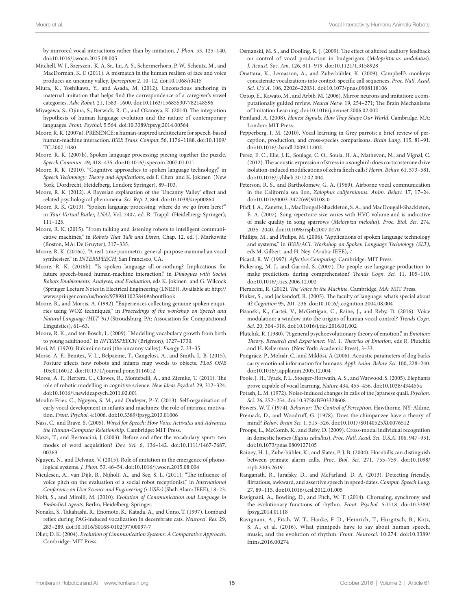by mirrored vocal interactions rather than by imitation. *J. Phon.* 53, 125–140. doi:[10.1016/j.wocn.2015.08.005](http://dx.doi.org/10.1016/j.wocn.2015.08.005) 

- <span id="page-14-41"></span>Mitchell, W. J., Szerszen, K. A. Sr., Lu, A. S., Schermerhorn, P. W., Scheutz, M., and MacDorman, K. F. (2011). A mismatch in the human realism of face and voice produces an uncanny valley. *Iperception* 2, 10–12. doi:[10.1068/i0415](http://dx.doi.org/10.1068/i0415)
- <span id="page-14-45"></span>Miura, K., Yoshikawa, Y., and Asada, M. (2012). Unconscious anchoring in maternal imitation that helps find the correspondence of a caregiver's vowel categories. *Adv. Robot.* 21, 1583–1600. doi[:10.1163/156855307782148596](http://dx.doi.org/10.1163/156855307782148596)
- <span id="page-14-9"></span>Miyagawa, S., Ojima, S., Berwick, R. C., and Okanoya, K. (2014). The integration hypothesis of human language evolution and the nature of contemporary languages. *Front. Psychol.* 5:564. doi[:10.3389/fpsyg.2014.00564](http://dx.doi.org/10.3389/fpsyg.2014.00564)
- <span id="page-14-42"></span>Moore, R. K. (2007a). PRESENCE: a human-inspired architecture for speech-based human-machine interaction. *IEEE Trans. Comput.* 56, 1176–1188. doi[:10.1109/](http://dx.doi.org/10.1109/TC.2007.1080) [TC.2007.1080](http://dx.doi.org/10.1109/TC.2007.1080)
- <span id="page-14-10"></span>Moore, R. K. (2007b). Spoken language processing: piecing together the puzzle. *Speech Commun.* 49, 418–435. doi:[10.1016/j.specom.2007.01.011](http://dx.doi.org/10.1016/j.specom.2007.01.011)
- <span id="page-14-43"></span>Moore, R. K. (2010). "Cognitive approaches to spoken language technology," in *Speech Technology: Theory and Applications*, eds F. Chen and K. Jokinen (New York, Dordrecht, Heidelberg, London: Springer), 89–103.
- <span id="page-14-40"></span>Moore, R. K. (2012). A Bayesian explanation of the 'Uncanny Valley' effect and related psychological phenomena. *Sci. Rep.* 2, 864. doi[:10.1038/srep00864](http://dx.doi.org/10.1038/srep00864)
- <span id="page-14-36"></span>Moore, R. K. (2013). "Spoken language processing: where do we go from here?" in *Your Virtual Butler, LNAI*, Vol. 7407, ed. R. Trappl (Heidelberg: Springer), 111–125.
- <span id="page-14-33"></span>Moore, R. K. (2015). "From talking and listening robots to intelligent communicative machines," in *Robots That Talk and Listen*, Chap. 12, ed. J. Markowitz (Boston, MA: De Gruyter), 317–335.
- <span id="page-14-44"></span>Moore, R. K. (2016a). "A real-time parametric general-purpose mammalian vocal synthesiser," in *INTERSPEECH*, San Francisco, CA.
- <span id="page-14-34"></span>Moore, R. K. (2016b). "Is spoken language all-or-nothing? Implications for future speech-based human-machine interaction," in *Dialogues with Social Robots Enablements, Analyses, and Evaluation*, eds K. Jokinen and G. Wilcock (Springer Lecture Notes in Electrical Engineering (LNEE)). Available at: [http://](http://www.springer.com/us/book/9789811025846#aboutBook) [www.springer.com/us/book/9789811025846#aboutBook](http://www.springer.com/us/book/9789811025846#aboutBook)
- <span id="page-14-16"></span>Moore, R., and Morris, A. (1992). "Experiences collecting genuine spoken enquiries using WOZ techniques," in *Proceedings of the workshop on Speech and Natural Language (HLT '91)* (Stroudsburg, PA: Association for Computational Linguistics), 61–63.
- <span id="page-14-13"></span>Moore, R. K., and ten Bosch, L. (2009). "Modelling vocabulary growth from birth to young adulthood," in *INTERSPEECH* (Brighton), 1727–1730.
- <span id="page-14-39"></span>Mori, M. (1970). Bukimi no tani (the uncanny valley). *Energy* 7, 33–35.
- <span id="page-14-8"></span>Morse, A. F., Benitez, V. L., Belpaeme, T., Cangelosi, A., and Smith, L. B. (2015). Posture affects how robots and infants map words to objects. *PLoS ONE* 10:e0116012. doi[:10.1371/journal.pone.0116012](http://dx.doi.org/10.1371/journal.pone.0116012)
- <span id="page-14-47"></span>Morse, A. F., Herrera, C., Clowes, R., Montebelli, A., and Ziemke, T. (2011). The role of robotic modelling in cognitive science. *New Ideas Psychol.* 29, 312–324. doi:[10.1016/j.newideapsych.2011.02.001](http://dx.doi.org/10.1016/j.newideapsych.2011.02.001)
- <span id="page-14-31"></span>Moulin-Frier, C., Nguyen, S. M., and Oudeyer, P.-Y. (2013). Self-organization of early vocal development in infants and machines: the role of intrinsic motivation. *Front. Psychol.* 4:1006. doi:[10.3389/fpsyg.2013.01006](http://dx.doi.org/10.3389/fpsyg.2013.01006)
- <span id="page-14-38"></span>Nass, C., and Brave, S. (2005). *Wired for Speech: How Voice Activates and Advances the Human-Computer Relationship*. Cambridge: MIT Press.
- <span id="page-14-12"></span>Nazzi, T., and Bertoncini, J. (2003). Before and after the vocabulary spurt: two modes of word acquisition? *Dev. Sci.* 6, 136–142. doi[:10.1111/1467-7687.](http://dx.doi.org/10.1111/1467-7687.00263) [00263](http://dx.doi.org/10.1111/1467-7687.00263)
- <span id="page-14-15"></span>Nguyen, N., and Delvaux, V. (2015). Role of imitation in the emergence of phonological systems. *J. Phon.* 53, 46–54. doi[:10.1016/j.wocn.2015.08.004](http://dx.doi.org/10.1016/j.wocn.2015.08.004)
- <span id="page-14-48"></span>Niculescu, A., van Dijk, B., Nijholt, A., and See, S. L. (2011). "The influence of voice pitch on the evaluation of a social robot receptionist," in *International Conference on User Science and Engineering (i-USEr)* (Shah Alam: IEEE), 18–23.
- <span id="page-14-23"></span>Nolfi, S., and Mirolli, M. (2010). *Evolution of Communication and Language in Embodied Agents*. Berlin, Heidelberg: Springer.
- <span id="page-14-2"></span>Nonaka, S., Takahashi, R., Enomoto, K., Katada, A., and Unno, T. (1997). Lombard reflex during PAG-induced vocalization in decerebrate cats. *Neurosci. Res.* 29, 283–289. doi:[10.1016/S0168-0102\(97\)00097-7](http://dx.doi.org/10.1016/S0168-0102(97)00097-7)
- <span id="page-14-22"></span>Oller, D. K. (2004). *Evolution of Communication Systems: A Comparative Approach*. Cambridge: MIT Press.
- <span id="page-14-3"></span>Osmanski, M. S., and Dooling, R. J. (2009). The effect of altered auditory feedback on control of vocal production in budgerigars (*Melopsittacus undulatus*). *J. Acoust. Soc. Am.* 126, 911–919. doi:[10.1121/1.3158928](http://dx.doi.org/10.1121/1.3158928)
- <span id="page-14-5"></span>Ouattara, K., Lemasson, A., and Zuberbühler, K. (2009). Campbell's monkeys concatenate vocalizations into context-specific call sequences. *Proc. Natl. Acad. Sci. U.S.A.* 106, 22026–22031. doi[:10.1073/pnas.0908118106](http://dx.doi.org/10.1073/pnas.0908118106)
- <span id="page-14-46"></span>Oztop, E., Kawato, M., and Arbib, M. (2006). Mirror neurons and imitation: a computationally guided review. *Neural Netw.* 19, 254–271; The Brain Mechanisms of Imitation Learning. doi[:10.1016/j.neunet.2006.02.002](http://dx.doi.org/10.1016/j.neunet.2006.02.002)
- <span id="page-14-26"></span>Pentland, A. (2008). *Honest Signals: How They Shape Our World*. Cambridge, MA; London: MIT Press.
- <span id="page-14-25"></span>Pepperberg, I. M. (2010). Vocal learning in Grey parrots: a brief review of perception, production, and cross-species comparisons. *Brain Lang.* 115, 81–91. doi[:10.1016/j.bandl.2009.11.002](http://dx.doi.org/10.1016/j.bandl.2009.11.002)
- <span id="page-14-20"></span>Perez, E. C., Elie, J. E., Soulage, C. O., Soula, H. A., Mathevon, N., and Vignal, C. (2012). The acoustic expression of stress in a songbird: does corticosterone drive isolation-induced modifications of zebra finch calls? *Horm. Behav.* 61, 573–581. doi[:10.1016/j.yhbeh.2012.02.004](http://dx.doi.org/10.1016/j.yhbeh.2012.02.004)
- <span id="page-14-29"></span>Peterson, R. S., and Bartholomew, G. A. (1969). Airborne vocal communication in the California sea lion, *Zalophus californianus*. *Anim. Behav.* 17, 17–24. doi[:10.1016/0003-3472\(69\)90108-0](http://dx.doi.org/10.1016/0003-3472(69)90108-0)
- <span id="page-14-28"></span>Pfaff, J. A., Zanette, L., MacDougall-Shackleton, S. A., and MacDougall-Shackleton, E. A. (2007). Song repertoire size varies with HVC volume and is indicative of male quality in song sparrows (*Melospiza melodia*). *Proc. Biol. Sci.* 274, 2035–2040. doi:[10.1098/rspb.2007.0170](http://dx.doi.org/10.1098/rspb.2007.0170)
- <span id="page-14-37"></span>Phillips, M., and Philips, M. (2006). "Applications of spoken language technology and systems," in *IEEE/ACL Workshop on Spoken Language Technology (SLT)*, eds M. Gilbert and H. Ney (Aruba: IEEE), 7.
- <span id="page-14-17"></span>Picard, R. W. (1997). *Affective Computing*. Cambridge: MIT Press.
- <span id="page-14-14"></span>Pickering, M. J., and Garrod, S. (2007). Do people use language production to make predictions during comprehension? *Trends Cogn. Sci.* 11, 105–110. doi[:10.1016/j.tics.2006.12.002](http://dx.doi.org/10.1016/j.tics.2006.12.002)

<span id="page-14-35"></span>Pieraccini, R. (2012). *The Voice in the Machine*. Cambridge, MA: MIT Press.

- <span id="page-14-11"></span>Pinker, S., and Jackendoff, R. (2005). The faculty of language: what's special about it? *Cognition* 95, 201–236. doi[:10.1016/j.cognition.2004.08.004](http://dx.doi.org/10.1016/j.cognition.2004.08.004)
- <span id="page-14-0"></span>Pisanski, K., Cartei, V., McGettigan, C., Raine, J., and Reby, D. (2016). Voice modulation: a window into the origins of human vocal control? *Trends Cogn. Sci.* 20, 304–318. doi:[10.1016/j.tics.2016.01.002](http://dx.doi.org/10.1016/j.tics.2016.01.002)
- <span id="page-14-18"></span>Plutchik, R. (1980). "A general psychoevolutionary theory of emotion," in *Emotion: Theory, Research and Experience: Vol. 1. Theories of Emotion*, eds R. Plutchik and H. Kellerman (New York: Academic Press), 3–33.
- <span id="page-14-19"></span>Pongrácz, P., Molnár, C., and Miklósi, Á (2006). Acoustic parameters of dog barks carry emotional information for humans. *Appl. Anim. Behav. Sci.* 100, 228–240. doi[:10.1016/j.applanim.2005.12.004](http://dx.doi.org/10.1016/j.applanim.2005.12.004)
- <span id="page-14-24"></span>Poole, J. H., Tyack, P. L., Stoeger-Horwath, A. S., and Watwood, S. (2005). Elephants prove capable of vocal learning. *Nature* 434, 455–456. doi:[10.1038/434455a](http://dx.doi.org/10.1038/434455a)
- <span id="page-14-1"></span>Potash, L. M. (1972). Noise-induced changes in calls of the Japanese quail. *Psychon. Sci.* 26, 252–254. doi:[10.3758/BF03328608](http://dx.doi.org/10.3758/BF03328608)

<span id="page-14-6"></span>Powers, W. T. (1974). *Behavior: The Control of Perception*. Hawthorne, NY: Aldine.

- <span id="page-14-7"></span>Premack, D., and Woodruff, G. (1978). Does the chimpanzee have a theory of mind? *Behav. Brain Sci.* 1, 515–526. doi:[10.1017/S0140525X00076512](http://dx.doi.org/10.1017/S0140525X00076512)
- <span id="page-14-30"></span>Proops, L., McComb, K., and Reby, D. (2009). Cross-modal individual recognition in domestic horses (*Equus caballus*). *Proc. Natl. Acad. Sci. U.S.A.* 106, 947–951. doi[:10.1073/pnas.0809127105](http://dx.doi.org/10.1073/pnas.0809127105)
- <span id="page-14-4"></span>Rainey, H. J., Zuberbühler, K., and Slater, P. J. B. (2004). Hornbills can distinguish between primate alarm calls. *Proc. Biol. Sci.* 271, 755–759. doi[:10.1098/](http://dx.doi.org/10.1098/rspb.2003.2619) [rspb.2003.2619](http://dx.doi.org/10.1098/rspb.2003.2619)
- <span id="page-14-27"></span>Ranganath, R., Jurafsky, D., and McFarland, D. A. (2013). Detecting friendly, flirtatious, awkward, and assertive speech in speed-dates. *Comput. Speech Lang.* 27, 89–115. doi[:10.1016/j.csl.2012.01.005](http://dx.doi.org/10.1016/j.csl.2012.01.005)
- <span id="page-14-32"></span>Ravignani, A., Bowling, D., and Fitch, W. T. (2014). Chorusing, synchrony and the evolutionary functions of rhythm. *Front. Psychol.* 5:1118. doi[:10.3389/](http://dx.doi.org/10.3389/fpsyg.2014.01118) [fpsyg.2014.01118](http://dx.doi.org/10.3389/fpsyg.2014.01118)
- <span id="page-14-21"></span>Ravignani, A., Fitch, W. T., Hanke, F. D., Heinrich, T., Hurgitsch, B., Kotz, S. A., et al. (2016). What pinnipeds have to say about human speech, music, and the evolution of rhythm. *Front. Neurosci.* 10:274. doi:[10.3389/](http://dx.doi.org/10.3389/fnins.2016.00274) [fnins.2016.00274](http://dx.doi.org/10.3389/fnins.2016.00274)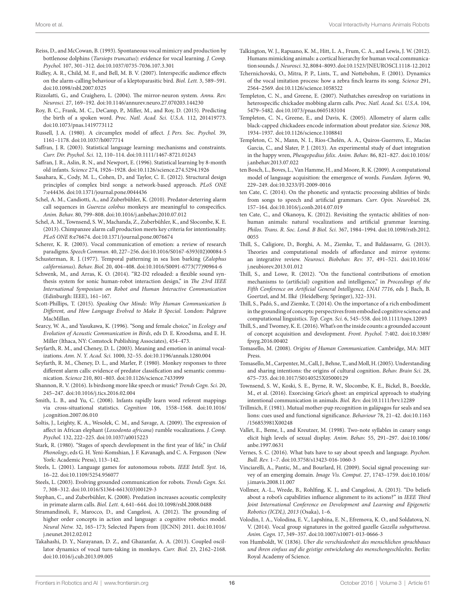- <span id="page-15-27"></span>Reiss, D., and McCowan, B. (1993). Spontaneous vocal mimicry and production by bottlenose dolphins (*Tursiops truncatus*): evidence for vocal learning. *J. Comp. Psychol.* 107, 301–312. doi:[10.1037/0735-7036.107.3.301](http://dx.doi.org/10.1037/0735-7036.107.3.301)
- <span id="page-15-1"></span>Ridley, A. R., Child, M. F., and Bell, M. B. V. (2007). Interspecific audience effects on the alarm-calling behaviour of a kleptoparasitic bird. *Biol. Lett.* 3, 589–591. doi:[10.1098/rsbl.2007.0325](http://dx.doi.org/10.1098/rsbl.2007.0325)
- <span id="page-15-16"></span>Rizzolatti, G., and Craighero, L. (2004). The mirror-neuron system. *Annu. Rev. Neurosci.* 27, 169–192. doi[:10.1146/annurev.neuro.27.070203.144230](http://dx.doi.org/10.1146/annurev.neuro.27.070203.144230)
- <span id="page-15-12"></span>Roy, B. C., Frank, M. C., DeCamp, P., Miller, M., and Roy, D. (2015). Predicting the birth of a spoken word. *Proc. Natl. Acad. Sci. U.S.A.* 112, 201419773. doi:[10.1073/pnas.1419773112](http://dx.doi.org/10.1073/pnas.1419773112)
- <span id="page-15-17"></span>Russell, J. A. (1980). A circumplex model of affect. *J. Pers. Soc. Psychol.* 39, 1161–1178. doi:[10.1037/h0077714](http://dx.doi.org/10.1037/h0077714)
- <span id="page-15-14"></span>Saffran, J. R. (2003). Statistical language learning: mechanisms and constraints. *Curr. Dir. Psychol. Sci.* 12, 110–114. doi[:10.1111/1467-8721.01243](http://dx.doi.org/10.1111/1467-8721.01243)
- <span id="page-15-13"></span>Saffran, J. R., Aslin, R. N., and Newport, E. (1996). Statistical learning by 8-month old infants. *Science* 274, 1926–1928. doi[:10.1126/science.274.5294.1926](http://dx.doi.org/10.1126/science.274.5294.1926)
- <span id="page-15-5"></span>Sasahara, K., Cody, M. L., Cohen, D., and Taylor, C. E. (2012). Structural design principles of complex bird songs: a network-based approach. *PLoS ONE* 7:e44436. doi:[10.1371/journal.pone.0044436](http://dx.doi.org/10.1371/journal.pone.0044436)
- <span id="page-15-4"></span>Schel, A. M., Candiotti, A., and Zuberbühler, K. (2010). Predator-deterring alarm call sequences in *Guereza colobus* monkeys are meaningful to conspecifics. *Anim. Behav.* 80, 799–808. doi[:10.1016/j.anbehav.2010.07.012](http://dx.doi.org/10.1016/j.anbehav.2010.07.012)
- <span id="page-15-39"></span>Schel, A. M., Townsend, S. W., Machanda, Z., Zuberbühler, K., and Slocombe, K. E. (2013). Chimpanzee alarm call production meets key criteria for intentionality. *PLoS ONE* 8:e76674. doi:[10.1371/journal.pone.0076674](http://dx.doi.org/10.1371/journal.pone.0076674)
- <span id="page-15-19"></span>Scherer, K. R. (2003). Vocal communication of emotion: a review of research paradigms. *Speech Commun.* 40, 227–256. doi:[10.1016/S0167-6393\(02\)00084-5](http://dx.doi.org/10.1016/S0167-6393(02)00084-5)
- <span id="page-15-35"></span>Schusterman, R. J. (1977). Temporal patterning in sea lion barking (*Zalophus californianus*). *Behav. Biol.* 20, 404–408. doi[:10.1016/S0091-6773\(77\)90964-6](http://dx.doi.org/10.1016/S0091-6773(77)90964-6)
- <span id="page-15-22"></span>Schwenk, M., and Arras, K. O. (2014). "R2-D2 reloaded: a flexible sound synthesis system for sonic human-robot interaction design," in *The 23rd IEEE International Symposium on Robot and Human Interactive Communication* (Edinburgh: IEEE), 161–167.
- <span id="page-15-9"></span>Scott-Phillips, T. (2015). *Speaking Our Minds: Why Human Communication Is Different, and How Language Evolved to Make It Special*. London: Palgrave MacMillan.
- <span id="page-15-33"></span>Searcy, W. A., and Yasukawa, K. (1996). "Song and female choice," in *Ecology and Evolution of Acoustic Communication in Birds*, eds D. E. Kroodsma, and E. H. Miller (Ithaca, NY: Comstock Publishing Associates), 454–473.
- <span id="page-15-20"></span>Seyfarth, R. M., and Cheney, D. L. (2003). Meaning and emotion in animal vocalizations. *Ann. N. Y. Acad. Sci.* 1000, 32–55. doi[:10.1196/annals.1280.004](http://dx.doi.org/10.1196/annals.1280.004)
- <span id="page-15-2"></span>Seyfarth, R. M., Cheney, D. L., and Marler, P. (1980). Monkey responses to three different alarm calls: evidence of predator classification and semantic communication. *Science* 210, 801–803. doi:[10.1126/science.7433999](http://dx.doi.org/10.1126/science.7433999)
- <span id="page-15-25"></span>Shannon, R. V. (2016). Is birdsong more like speech or music? *Trends Cogn. Sci.* 20, 245–247. doi:[10.1016/j.tics.2016.02.004](http://dx.doi.org/10.1016/j.tics.2016.02.004)
- <span id="page-15-15"></span>Smith, L. B., and Yu, C. (2008). Infants rapidly learn word referent mappings via cross-situational statistics. *Cognition* 106, 1558–1568. doi[:10.1016/](http://dx.doi.org/10.1016/j.cognition.2007.06.010) [j.cognition.2007.06.010](http://dx.doi.org/10.1016/j.cognition.2007.06.010)
- <span id="page-15-21"></span>Soltis, J., Leighty, K. A., Wesolek, C. M., and Savage, A. (2009). The expression of affect in African elephant (*Loxodonta africana*) rumble vocalizations. *J. Comp. Psychol.* 132, 222–225. doi:[10.1037/a0015223](http://dx.doi.org/10.1037/a0015223)
- <span id="page-15-8"></span>Stark, R. (1980). "Stages of speech development in the first year of life," in *Child Phonology*, eds G. H. Yeni-Komshian, J. F. Kavanagh, and C. A. Ferguson (New York: Academic Press), 113–142.
- <span id="page-15-44"></span>Steels, L. (2001). Language games for autonomous robots. *IEEE Intell. Syst.* 16, 16–22. doi[:10.1109/5254.956077](http://dx.doi.org/10.1109/5254.956077)
- <span id="page-15-45"></span>Steels, L. (2003). Evolving grounded communication for robots. *Trends Cogn. Sci.* 7, 308–312. doi:[10.1016/S1364-6613\(03\)00129-3](http://dx.doi.org/10.1016/S1364-6613(03)00129-3)
- <span id="page-15-31"></span>Stephan, C., and Zuberbühler, K. (2008). Predation increases acoustic complexity in primate alarm calls. *Biol. Lett.* 4, 641–644. doi[:10.1098/rsbl.2008.0488](http://dx.doi.org/10.1098/rsbl.2008.0488)
- <span id="page-15-43"></span>Stramandinoli, F., Marocco, D., and Cangelosi, A. (2012). The grounding of higher order concepts in action and language: a cognitive robotics model. *Neural Netw.* 32, 165–173; Selected Papers from {IJCNN} 2011. doi[:10.1016/](http://dx.doi.org/10.1016/j.neunet.2012.02.012) [j.neunet.2012.02.012](http://dx.doi.org/10.1016/j.neunet.2012.02.012)
- <span id="page-15-41"></span>Takahashi, D. Y., Narayanan, D. Z., and Ghazanfar, A. A. (2013). Coupled oscillator dynamics of vocal turn-taking in monkeys. *Curr. Biol.* 23, 2162–2168. doi:[10.1016/j.cub.2013.09.005](http://dx.doi.org/10.1016/j.cub.2013.09.005)
- <span id="page-15-0"></span>Talkington, W. J., Rapuano, K. M., Hitt, L. A., Frum, C. A., and Lewis, J. W. (2012). Humans mimicking animals: a cortical hierarchy for human vocal communication sounds. *J. Neurosci.* 32, 8084–8093. doi[:10.1523/JNEUROSCI.1118-12.2012](http://dx.doi.org/10.1523/JNEUROSCI.1118-12.2012)
- <span id="page-15-28"></span>Tchernichovski, O., Mitra, P. P., Lints, T., and Nottebohm, F. (2001). Dynamics of the vocal imitation process: how a zebra finch learns its song. *Science* 291, 2564–2569. doi:[10.1126/science.1058522](http://dx.doi.org/10.1126/science.1058522)
- <span id="page-15-32"></span>Templeton, C. N., and Greene, E. (2007). Nuthatches eavesdrop on variations in heterospecific chickadee mobbing alarm calls. *Proc. Natl. Acad. Sci. U.S.A.* 104, 5479–5482. doi:[10.1073/pnas.0605183104](http://dx.doi.org/10.1073/pnas.0605183104)
- <span id="page-15-3"></span>Templeton, C. N., Greene, E., and Davis, K. (2005). Allometry of alarm calls: black-capped chickadees encode information about predator size. *Science* 308, 1934–1937. doi:[10.1126/science.1108841](http://dx.doi.org/10.1126/science.1108841)
- <span id="page-15-40"></span>Templeton, C. N., Mann, N. I., Ríos-Chelén, A. A., Quiros-Guerrero, E., Macías Garcia, C., and Slater, P. J. (2013). An experimental study of duet integration in the happy wren, *Pheugopedius felix*. *Anim. Behav.* 86, 821–827. doi[:10.1016/](http://dx.doi.org/10.1016/j.anbehav.2013.07.022) [j.anbehav.2013.07.022](http://dx.doi.org/10.1016/j.anbehav.2013.07.022)
- <span id="page-15-42"></span>ten Bosch, L., Boves, L., Van Hamme, H., and Moore, R. K. (2009). A computational model of language acquisition: the emergence of words. *Fundam. Inform.* 90, 229–249. doi[:10.3233/FI-2009-0016](http://dx.doi.org/10.3233/FI-2009-0016)
- <span id="page-15-26"></span>ten Cate, C. (2014). On the phonetic and syntactic processing abilities of birds: from songs to speech and artificial grammars. *Curr. Opin. Neurobiol.* 28, 157–164. doi[:10.1016/j.conb.2014.07.019](http://dx.doi.org/10.1016/j.conb.2014.07.019)
- <span id="page-15-6"></span>ten Cate, C., and Okanoya, K. (2012). Revisiting the syntactic abilities of nonhuman animals: natural vocalizations and artificial grammar learning. *Philos. Trans. R. Soc. Lond. B Biol. Sci.* 367, 1984–1994. doi[:10.1098/rstb.2012.](http://dx.doi.org/10.1098/rstb.2012.0055) [0055](http://dx.doi.org/10.1098/rstb.2012.0055)
- <span id="page-15-46"></span>Thill, S., Caligiore, D., Borghi, A. M., Ziemke, T., and Baldassarre, G. (2013). Theories and computational models of affordance and mirror systems: an integrative review. *Neurosci. Biobehav. Rev.* 37, 491–521. doi[:10.1016/](http://dx.doi.org/10.1016/j.neubiorev.2013.01.012) [j.neubiorev.2013.01.012](http://dx.doi.org/10.1016/j.neubiorev.2013.01.012)
- <span id="page-15-18"></span>Thill, S., and Lowe, R. (2012). "On the functional contributions of emotion mechanisms to (artificial) cognition and intelligence," in *Proceedings of the Fifth Conference on Artificial General Intelligence, LNAI 7716*, eds J. Bach, B. Goertzel, and M. Ilké (Heidelberg: Springer), 322–331.
- <span id="page-15-10"></span>Thill, S., Padó, S., and Ziemke, T. (2014). On the importance of a rich embodiment in the grounding of concepts: perspectives from embodied cognitive science and computational linguistics. *Top. Cogn. Sci.* 6, 545–558. doi[:10.1111/tops.12093](http://dx.doi.org/10.1111/tops.12093)
- <span id="page-15-11"></span>Thill, S., and Twomey, K. E. (2016). What's on the inside counts: a grounded account of concept acquisition and development. *Front. Psychol.* 7:402. doi[:10.3389/](http://dx.doi.org/10.3389/fpsyg.2016.00402) [fpsyg.2016.00402](http://dx.doi.org/10.3389/fpsyg.2016.00402)
- <span id="page-15-23"></span>Tomasello, M. (2008). *Origins of Human Communication*. Cambridge, MA: MIT Press.
- <span id="page-15-37"></span>Tomasello, M., Carpenter, M., Call, J., Behne, T., and Moll, H. (2005). Understanding and sharing intentions: the origins of cultural cognition. *Behav. Brain Sci.* 28, 675–735. doi[:10.1017/S0140525X05000129](http://dx.doi.org/10.1017/S0140525X05000129)
- <span id="page-15-38"></span>Townsend, S. W., Koski, S. E., Byrne, R. W., Slocombe, K. E., Bickel, B., Boeckle, M., et al. (2016). Exorcising Grice's ghost: an empirical approach to studying intentional communication in animals. *Biol. Rev.* doi:[10.1111/brv.12289](http://dx.doi.org/10.1111/brv.12289)
- <span id="page-15-36"></span>Trillmich, F. (1981). Mutual mother-pup recognition in galápagos fur seals and sea lions: cues used and functional significance. *Behaviour* 78, 21–42. doi:[10.1163](http://dx.doi.org/10.1163/156853981X00248) [/156853981X00248](http://dx.doi.org/10.1163/156853981X00248)
- <span id="page-15-34"></span>Vallet, E., Beme, I., and Kreutzer, M. (1998). Two-note syllables in canary songs elicit high levels of sexual display. *Anim. Behav.* 55, 291–297. doi[:10.1006/](http://dx.doi.org/10.1006/anbe.1997.0631) [anbe.1997.0631](http://dx.doi.org/10.1006/anbe.1997.0631)
- <span id="page-15-24"></span>Vernes, S. C. (2016). What bats have to say about speech and language. *Psychon. Bull. Rev.* 1–7. doi[:10.3758/s13423-016-1060-3](http://dx.doi.org/10.3758/s13423-016-1060-3)
- <span id="page-15-30"></span>Vinciarelli, A., Pantic, M., and Bourlard, H. (2009). Social signal processing: survey of an emerging domain. *Image Vis. Comput.* 27, 1743–1759. doi[:10.1016/](http://dx.doi.org/10.1016/j.imavis.2008.11.007) [j.imavis.2008.11.007](http://dx.doi.org/10.1016/j.imavis.2008.11.007)
- <span id="page-15-47"></span>Vollmer, A.-L., Wrede, B., Rohlfing, K. J., and Cangelosi, A. (2013). "Do beliefs about a robot's capabilities influence alignment to its actions?" in *IEEE Third Joint International Conference on Development and Learning and Epigenetic Robotics (ICDL), 2013* (Osaka), 1–6.
- <span id="page-15-29"></span>Volodin, I. A., Volodina, E. V., Lapshina, E. N., Efremova, K. O., and Soldatova, N. V. (2014). Vocal group signatures in the goitred gazelle *Gazella subgutturosa*. *Anim. Cogn.* 17, 349–357. doi:[10.1007/s10071-013-0666-3](http://dx.doi.org/10.1007/s10071-013-0666-3)
- <span id="page-15-7"></span>von Humboldt, W. (1836). *Uber die verschiedenheit des menschlichen sprachbaues und ihren einfuss auf die geistige entwickelung des menschengeschlechts*. Berlin: Royal Academy of Science.